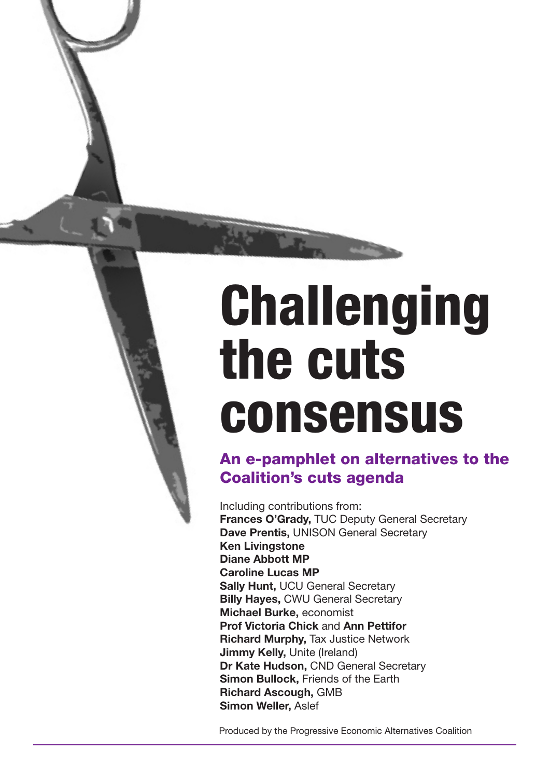# Challenging the cuts consensus

# An e-pamphlet on alternatives to the Coalition's cuts agenda

Including contributions from: **Frances O'Grady,** TUC Deputy General Secretary **Dave Prentis,** UNISON General Secretary **Ken Livingstone Diane Abbott MP Caroline Lucas MP Sally Hunt,** UCU General Secretary **Billy Hayes,** CWU General Secretary **Michael Burke,** economist **Prof Victoria Chick** and **Ann Pettifor Richard Murphy,** Tax Justice Network **Jimmy Kelly, Unite (Ireland) Dr Kate Hudson,** CND General Secretary **Simon Bullock,** Friends of the Earth **Richard Ascough,** GMB **Simon Weller,** Aslef

Produced by the Progressive Economic Alternatives Coalition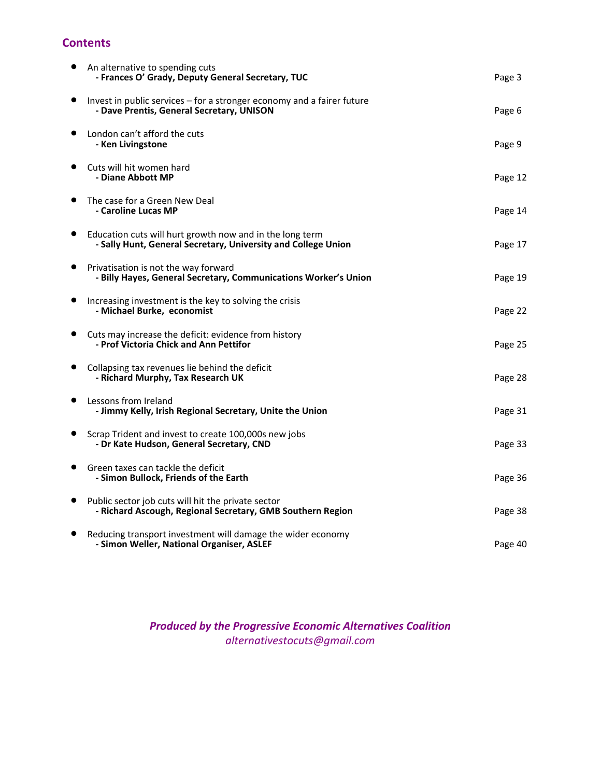# **Contents**

| An alternative to spending cuts<br>- Frances O' Grady, Deputy General Secretary, TUC                                      | Page 3  |
|---------------------------------------------------------------------------------------------------------------------------|---------|
| Invest in public services $-$ for a stronger economy and a fairer future<br>- Dave Prentis, General Secretary, UNISON     | Page 6  |
| London can't afford the cuts<br>- Ken Livingstone                                                                         | Page 9  |
| Cuts will hit women hard<br>- Diane Abbott MP                                                                             | Page 12 |
| The case for a Green New Deal<br>- Caroline Lucas MP                                                                      | Page 14 |
| Education cuts will hurt growth now and in the long term<br>- Sally Hunt, General Secretary, University and College Union | Page 17 |
| Privatisation is not the way forward<br>- Billy Hayes, General Secretary, Communications Worker's Union                   | Page 19 |
| Increasing investment is the key to solving the crisis<br>- Michael Burke, economist                                      | Page 22 |
| Cuts may increase the deficit: evidence from history<br>- Prof Victoria Chick and Ann Pettifor                            | Page 25 |
| Collapsing tax revenues lie behind the deficit<br>- Richard Murphy, Tax Research UK                                       | Page 28 |
| Lessons from Ireland<br>- Jimmy Kelly, Irish Regional Secretary, Unite the Union                                          | Page 31 |
| Scrap Trident and invest to create 100,000s new jobs<br>- Dr Kate Hudson, General Secretary, CND                          | Page 33 |
| Green taxes can tackle the deficit<br>- Simon Bullock, Friends of the Earth                                               | Page 36 |
| Public sector job cuts will hit the private sector<br>- Richard Ascough, Regional Secretary, GMB Southern Region          | Page 38 |
| Reducing transport investment will damage the wider economy<br>- Simon Weller, National Organiser, ASLEF                  | Page 40 |

# *Produced by the Progressive Economic Alternatives Coalition alternativestocuts@gmail.com*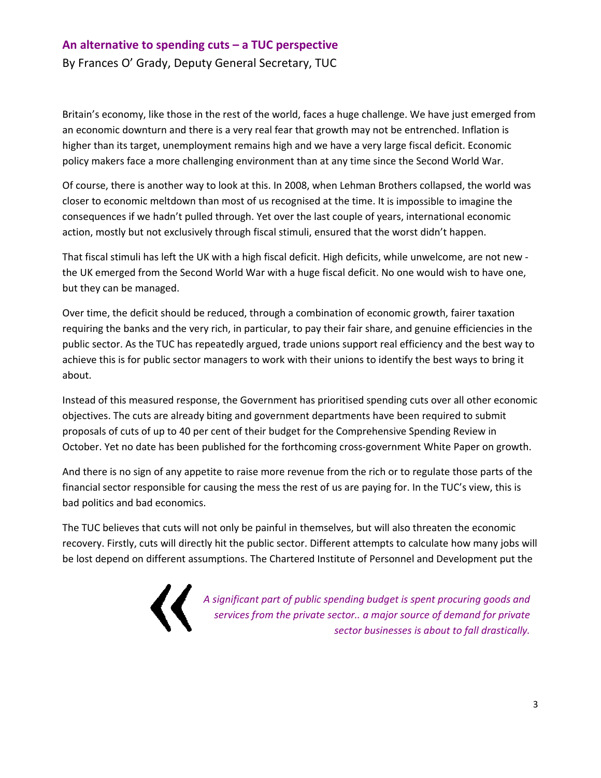#### **An alternative to spending cuts – a TUC perspective**

By Frances O' Grady, Deputy General Secretary, TUC

Britain's economy, like those in the rest of the world, faces a huge challenge. We have just emerged from an economic downturn and there is a very real fear that growth may not be entrenched. Inflation is higher than its target, unemployment remains high and we have a very large fiscal deficit. Economic policy makers face a more challenging environment than at any time since the Second World War.

Of course, there is another way to look at this. In 2008, when Lehman Brothers collapsed, the world was closer to economic meltdown than most of us recognised at the time. It is impossible to imagine the consequences if we hadn't pulled through. Yet over the last couple of years, international economic action, mostly but not exclusively through fiscal stimuli, ensured that the worst didn't happen.

That fiscal stimuli has left the UK with a high fiscal deficit. High deficits, while unwelcome, are not new ‐ the UK emerged from the Second World War with a huge fiscal deficit. No one would wish to have one, but they can be managed.

Over time, the deficit should be reduced, through a combination of economic growth, fairer taxation requiring the banks and the very rich, in particular, to pay their fair share, and genuine efficiencies in the public sector. As the TUC has repeatedly argued, trade unions support real efficiency and the best way to achieve this is for public sector managers to work with their unions to identify the best ways to bring it about.

Instead of this measured response, the Government has prioritised spending cuts over all other economic objectives. The cuts are already biting and government departments have been required to submit proposals of cuts of up to 40 per cent of their budget for the Comprehensive Spending Review in October. Yet no date has been published for the forthcoming cross‐government White Paper on growth.

And there is no sign of any appetite to raise more revenue from the rich or to regulate those parts of the financial sector responsible for causing the mess the rest of us are paying for. In the TUC's view, this is bad politics and bad economics.

The TUC believes that cuts will not only be painful in themselves, but will also threaten the economic recovery. Firstly, cuts will directly hit the public sector. Different attempts to calculate how many jobs will be lost depend on different assumptions. The Chartered Institute of Personnel and Development put the

*A significant part of public spending budget is spent procuring goods and services from the private sector.. a major source of demand for private sector businesses is about to fall drastically.*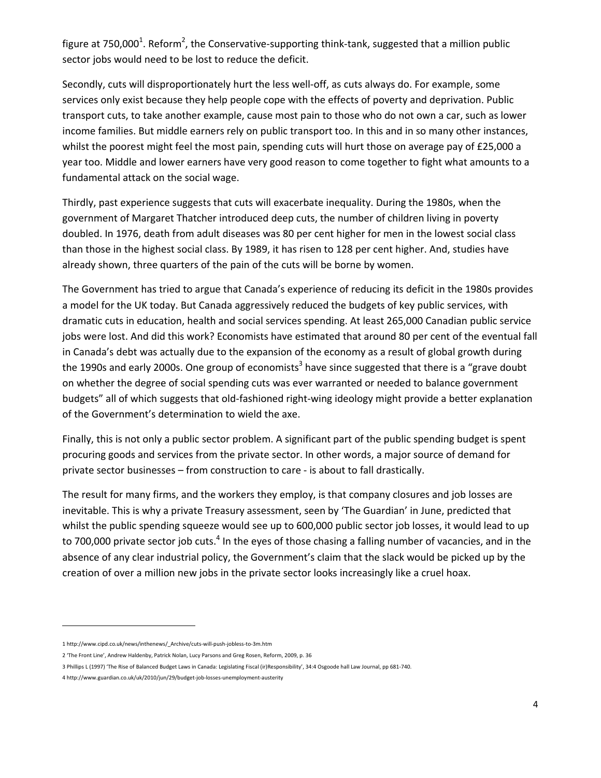figure at 750,000<sup>1</sup>. Reform<sup>2</sup>, the Conservative-supporting think-tank, suggested that a million public sector jobs would need to be lost to reduce the deficit.

Secondly, cuts will disproportionately hurt the less well‐off, as cuts always do. For example, some services only exist because they help people cope with the effects of poverty and deprivation. Public transport cuts, to take another example, cause most pain to those who do not own a car, such as lower income families. But middle earners rely on public transport too. In this and in so many other instances, whilst the poorest might feel the most pain, spending cuts will hurt those on average pay of £25,000 a year too. Middle and lower earners have very good reason to come together to fight what amounts to a fundamental attack on the social wage.

Thirdly, past experience suggests that cuts will exacerbate inequality. During the 1980s, when the government of Margaret Thatcher introduced deep cuts, the number of children living in poverty doubled. In 1976, death from adult diseases was 80 per cent higher for men in the lowest social class than those in the highest social class. By 1989, it has risen to 128 per cent higher. And, studies have already shown, three quarters of the pain of the cuts will be borne by women.

The Government has tried to argue that Canada's experience of reducing its deficit in the 1980s provides a model for the UK today. But Canada aggressively reduced the budgets of key public services, with dramatic cuts in education, health and social services spending. At least 265,000 Canadian public service jobs were lost. And did this work? Economists have estimated that around 80 per cent of the eventual fall in Canada's debt was actually due to the expansion of the economy as a result of global growth during the 1990s and early 2000s. One group of economists<sup>3</sup> have since suggested that there is a "grave doubt" on whether the degree of social spending cuts was ever warranted or needed to balance government budgets" all of which suggests that old‐fashioned right‐wing ideology might provide a better explanation of the Government's determination to wield the axe.

Finally, this is not only a public sector problem. A significant part of the public spending budget is spent procuring goods and services from the private sector. In other words, a major source of demand for private sector businesses – from construction to care ‐ is about to fall drastically.

The result for many firms, and the workers they employ, is that company closures and job losses are inevitable. This is why a private Treasury assessment, seen by 'The Guardian' in June, predicted that whilst the public spending squeeze would see up to 600,000 public sector job losses, it would lead to up to 700,000 private sector job cuts.<sup>4</sup> In the eyes of those chasing a falling number of vacancies, and in the absence of any clear industrial policy, the Government's claim that the slack would be picked up by the creation of over a million new jobs in the private sector looks increasingly like a cruel hoax.

<sup>1</sup> http://www.cipd.co.uk/news/inthenews/\_Archive/cuts‐will‐push‐jobless‐to‐3m.htm

<sup>2</sup> 'The Front Line', Andrew Haldenby, Patrick Nolan, Lucy Parsons and Greg Rosen, Reform, 2009, p. 36

<sup>3</sup> Phillips L (1997) 'The Rise of Balanced Budget Laws in Canada: Legislating Fiscal (ir)Responsibility', 34:4 Osgoode hall Law Journal, pp 681‐740.

<sup>4</sup> http://www.guardian.co.uk/uk/2010/jun/29/budget‐job‐losses‐unemployment‐austerity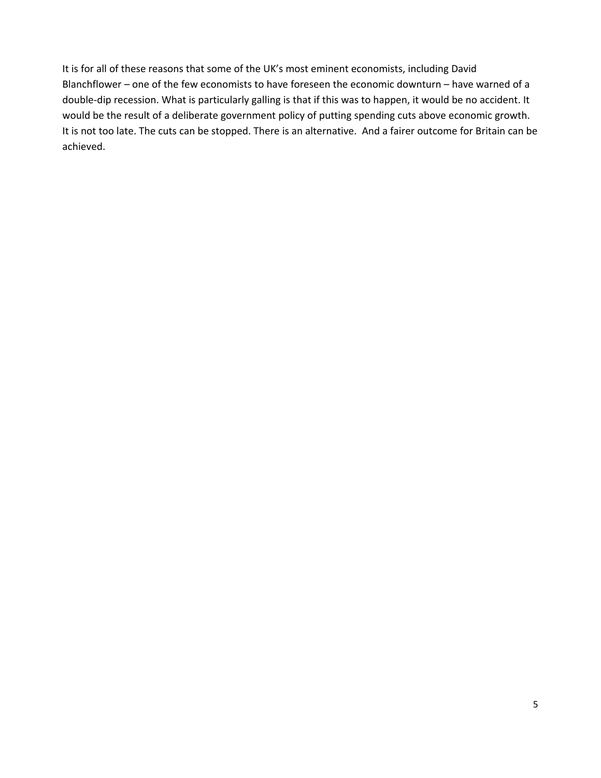It is for all of these reasons that some of the UK's most eminent economists, including David Blanchflower – one of the few economists to have foreseen the economic downturn – have warned of a double-dip recession. What is particularly galling is that if this was to happen, it would be no accident. It would be the result of a deliberate government policy of putting spending cuts above economic growth. It is not too late. The cuts can be stopped. There is an alternative. And a fairer outcome for Britain can be achieved.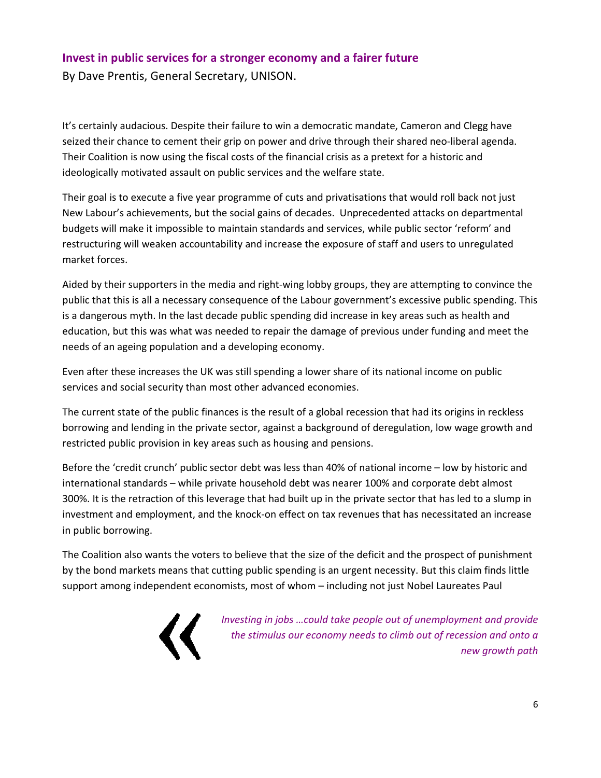# **Invest in public services for a stronger economy and a fairer future**

By Dave Prentis, General Secretary, UNISON.

It's certainly audacious. Despite their failure to win a democratic mandate, Cameron and Clegg have seized their chance to cement their grip on power and drive through their shared neo-liberal agenda. Their Coalition is now using the fiscal costs of the financial crisis as a pretext for a historic and ideologically motivated assault on public services and the welfare state.

Their goal is to execute a five year programme of cuts and privatisations that would roll back not just New Labour's achievements, but the social gains of decades. Unprecedented attacks on departmental budgets will make it impossible to maintain standards and services, while public sector 'reform' and restructuring will weaken accountability and increase the exposure of staff and users to unregulated market forces.

Aided by their supporters in the media and right‐wing lobby groups, they are attempting to convince the public that this is all a necessary consequence of the Labour government's excessive public spending. This is a dangerous myth. In the last decade public spending did increase in key areas such as health and education, but this was what was needed to repair the damage of previous under funding and meet the needs of an ageing population and a developing economy.

Even after these increases the UK was still spending a lower share of its national income on public services and social security than most other advanced economies.

The current state of the public finances is the result of a global recession that had its origins in reckless borrowing and lending in the private sector, against a background of deregulation, low wage growth and restricted public provision in key areas such as housing and pensions.

Before the 'credit crunch' public sector debt was less than 40% of national income – low by historic and international standards – while private household debt was nearer 100% and corporate debt almost 300%. It is the retraction of this leverage that had built up in the private sector that has led to a slump in investment and employment, and the knock‐on effect on tax revenues that has necessitated an increase in public borrowing.

The Coalition also wants the voters to believe that the size of the deficit and the prospect of punishment by the bond markets means that cutting public spending is an urgent necessity. But this claim finds little support among independent economists, most of whom – including not just Nobel Laureates Paul



*Investing in jobs …could take people out of unemployment and provide the stimulus our economy needs to climb out of recession and onto a new growth path*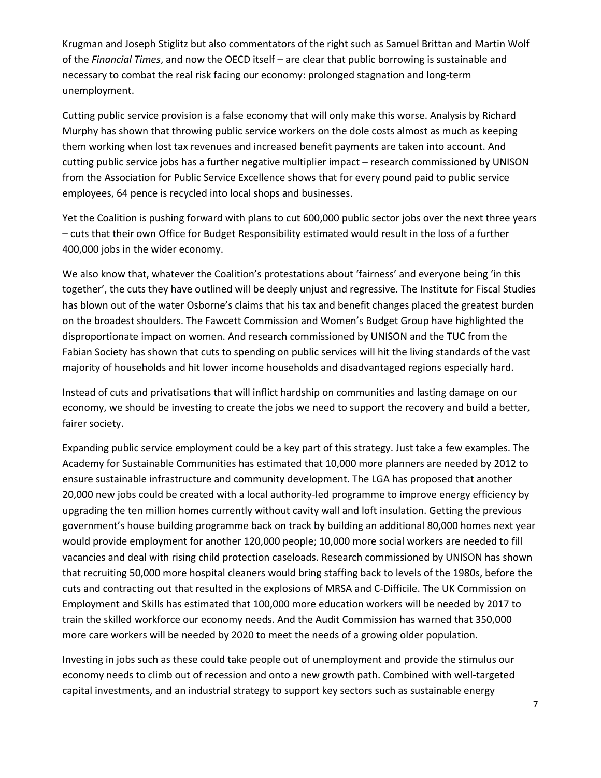Krugman and Joseph Stiglitz but also commentators of the right such as Samuel Brittan and Martin Wolf of the *Financial Times*, and now the OECD itself – are clear that public borrowing is sustainable and necessary to combat the real risk facing our economy: prolonged stagnation and long‐term unemployment.

Cutting public service provision is a false economy that will only make this worse. Analysis by Richard Murphy has shown that throwing public service workers on the dole costs almost as much as keeping them working when lost tax revenues and increased benefit payments are taken into account. And cutting public service jobs has a further negative multiplier impact – research commissioned by UNISON from the Association for Public Service Excellence shows that for every pound paid to public service employees, 64 pence is recycled into local shops and businesses.

Yet the Coalition is pushing forward with plans to cut 600,000 public sector jobs over the next three years – cuts that their own Office for Budget Responsibility estimated would result in the loss of a further 400,000 jobs in the wider economy.

We also know that, whatever the Coalition's protestations about 'fairness' and everyone being 'in this together', the cuts they have outlined will be deeply unjust and regressive. The Institute for Fiscal Studies has blown out of the water Osborne's claims that his tax and benefit changes placed the greatest burden on the broadest shoulders. The Fawcett Commission and Women's Budget Group have highlighted the disproportionate impact on women. And research commissioned by UNISON and the TUC from the Fabian Society has shown that cuts to spending on public services will hit the living standards of the vast majority of households and hit lower income households and disadvantaged regions especially hard.

Instead of cuts and privatisations that will inflict hardship on communities and lasting damage on our economy, we should be investing to create the jobs we need to support the recovery and build a better, fairer society.

Expanding public service employment could be a key part of this strategy. Just take a few examples. The Academy for Sustainable Communities has estimated that 10,000 more planners are needed by 2012 to ensure sustainable infrastructure and community development. The LGA has proposed that another 20,000 new jobs could be created with a local authority‐led programme to improve energy efficiency by upgrading the ten million homes currently without cavity wall and loft insulation. Getting the previous government's house building programme back on track by building an additional 80,000 homes next year would provide employment for another 120,000 people; 10,000 more social workers are needed to fill vacancies and deal with rising child protection caseloads. Research commissioned by UNISON has shown that recruiting 50,000 more hospital cleaners would bring staffing back to levels of the 1980s, before the cuts and contracting out that resulted in the explosions of MRSA and C‐Difficile. The UK Commission on Employment and Skills has estimated that 100,000 more education workers will be needed by 2017 to train the skilled workforce our economy needs. And the Audit Commission has warned that 350,000 more care workers will be needed by 2020 to meet the needs of a growing older population.

Investing in jobs such as these could take people out of unemployment and provide the stimulus our economy needs to climb out of recession and onto a new growth path. Combined with well‐targeted capital investments, and an industrial strategy to support key sectors such as sustainable energy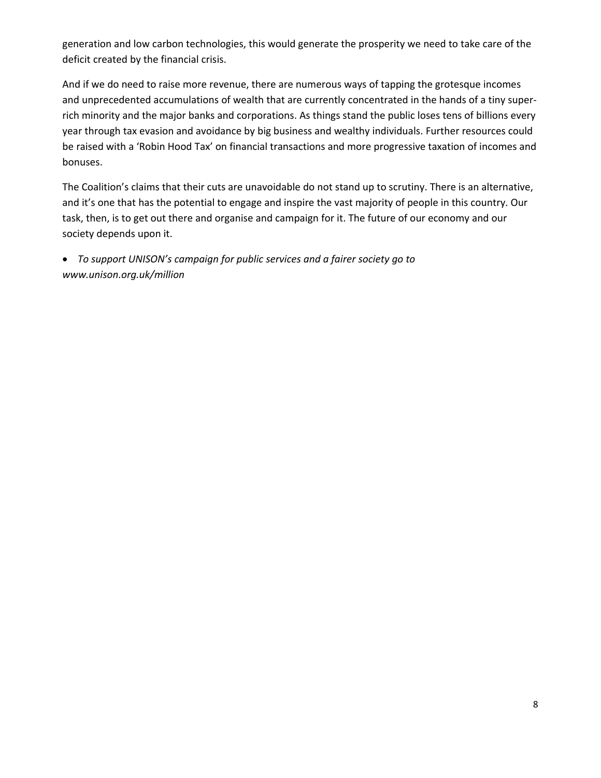generation and low carbon technologies, this would generate the prosperity we need to take care of the deficit created by the financial crisis.

And if we do need to raise more revenue, there are numerous ways of tapping the grotesque incomes and unprecedented accumulations of wealth that are currently concentrated in the hands of a tiny super‐ rich minority and the major banks and corporations. As things stand the public loses tens of billions every year through tax evasion and avoidance by big business and wealthy individuals. Further resources could be raised with a 'Robin Hood Tax' on financial transactions and more progressive taxation of incomes and bonuses.

The Coalition's claims that their cuts are unavoidable do not stand up to scrutiny. There is an alternative, and it's one that has the potential to engage and inspire the vast majority of people in this country. Our task, then, is to get out there and organise and campaign for it. The future of our economy and our society depends upon it.

• *To support UNISON's campaign for public services and a fairer society go to www.unison.org.uk/million*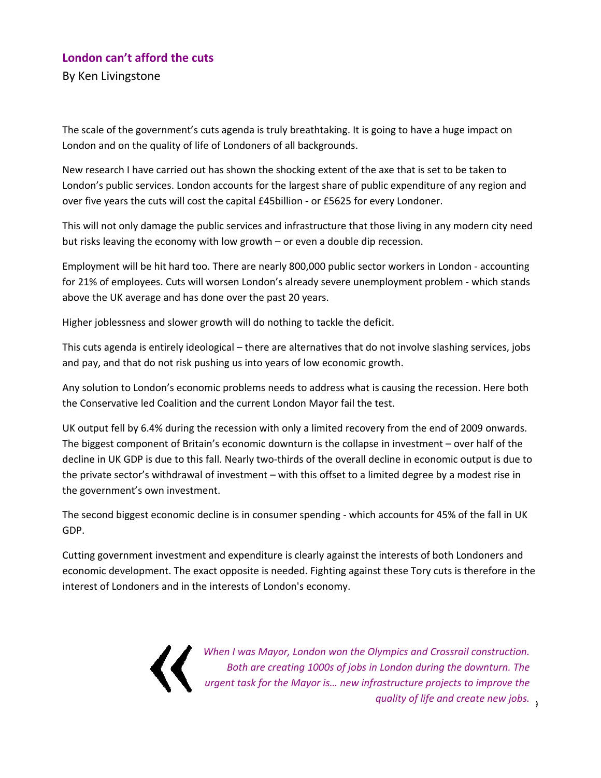# **London can't afford the cuts**

By Ken Livingstone

The scale of the government's cuts agenda is truly breathtaking. It is going to have a huge impact on London and on the quality of life of Londoners of all backgrounds.

New research I have carried out has shown the shocking extent of the axe that is set to be taken to London's public services. London accounts for the largest share of public expenditure of any region and over five years the cuts will cost the capital £45billion ‐ or £5625 for every Londoner.

This will not only damage the public services and infrastructure that those living in any modern city need but risks leaving the economy with low growth – or even a double dip recession.

Employment will be hit hard too. There are nearly 800,000 public sector workers in London ‐ accounting for 21% of employees. Cuts will worsen London's already severe unemployment problem ‐ which stands above the UK average and has done over the past 20 years.

Higher joblessness and slower growth will do nothing to tackle the deficit.

This cuts agenda is entirely ideological – there are alternatives that do not involve slashing services, jobs and pay, and that do not risk pushing us into years of low economic growth.

Any solution to London's economic problems needs to address what is causing the recession. Here both the Conservative led Coalition and the current London Mayor fail the test.

UK output fell by 6.4% during the recession with only a limited recovery from the end of 2009 onwards. The biggest component of Britain's economic downturn is the collapse in investment – over half of the decline in UK GDP is due to this fall. Nearly two‐thirds of the overall decline in economic output is due to the private sector's withdrawal of investment – with this offset to a limited degree by a modest rise in the government's own investment.

The second biggest economic decline is in consumer spending - which accounts for 45% of the fall in UK GDP.

Cutting government investment and expenditure is clearly against the interests of both Londoners and economic development. The exact opposite is needed. Fighting against these Tory cuts is therefore in the interest of Londoners and in the interests of London's economy.

9 *quality of life and create new jobs. When I was Mayor, London won the Olympics and Crossrail construction. Both are creating 1000s of jobs in London during the downturn. The urgent task for the Mayor is… new infrastructure projects to improve the*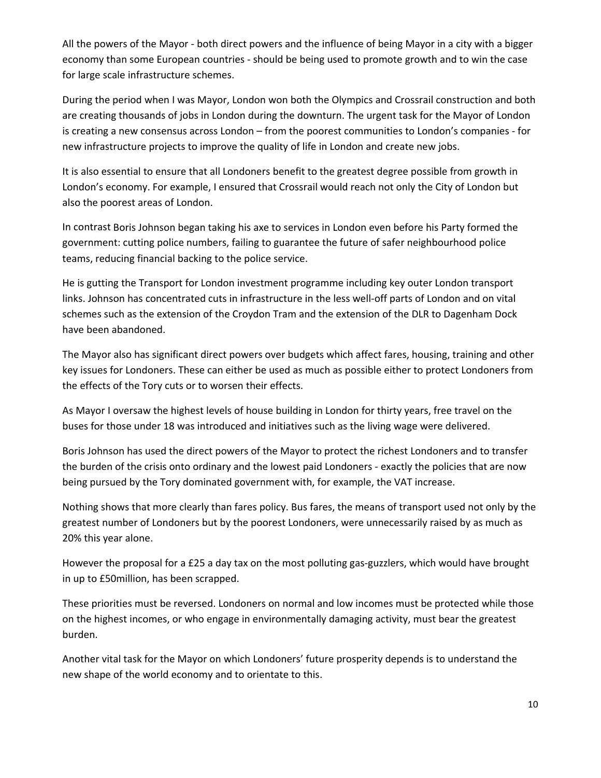All the powers of the Mayor ‐ both direct powers and the influence of being Mayor in a city with a bigger economy than some European countries ‐ should be being used to promote growth and to win the case for large scale infrastructure schemes.

During the period when I was Mayor, London won both the Olympics and Crossrail construction and both are creating thousands of jobs in London during the downturn. The urgent task for the Mayor of London is creating a new consensus across London – from the poorest communities to London's companies ‐ for new infrastructure projects to improve the quality of life in London and create new jobs.

It is also essential to ensure that all Londoners benefit to the greatest degree possible from growth in London's economy. For example, I ensured that Crossrail would reach not only the City of London but also the poorest areas of London.

In contrast Boris Johnson began taking his axe to services in London even before his Party formed the government: cutting police numbers, failing to guarantee the future of safer neighbourhood police teams, reducing financial backing to the police service.

He is gutting the Transport for London investment programme including key outer London transport links. Johnson has concentrated cuts in infrastructure in the less well‐off parts of London and on vital schemes such as the extension of the Croydon Tram and the extension of the DLR to Dagenham Dock have been abandoned.

The Mayor also has significant direct powers over budgets which affect fares, housing, training and other key issues for Londoners. These can either be used as much as possible either to protect Londoners from the effects of the Tory cuts or to worsen their effects.

As Mayor I oversaw the highest levels of house building in London for thirty years, free travel on the buses for those under 18 was introduced and initiatives such as the living wage were delivered.

Boris Johnson has used the direct powers of the Mayor to protect the richest Londoners and to transfer the burden of the crisis onto ordinary and the lowest paid Londoners ‐ exactly the policies that are now being pursued by the Tory dominated government with, for example, the VAT increase.

Nothing shows that more clearly than fares policy. Bus fares, the means of transport used not only by the greatest number of Londoners but by the poorest Londoners, were unnecessarily raised by as much as 20% this year alone.

However the proposal for a £25 a day tax on the most polluting gas-guzzlers, which would have brought in up to £50million, has been scrapped.

These priorities must be reversed. Londoners on normal and low incomes must be protected while those on the highest incomes, or who engage in environmentally damaging activity, must bear the greatest burden.

Another vital task for the Mayor on which Londoners' future prosperity depends is to understand the new shape of the world economy and to orientate to this.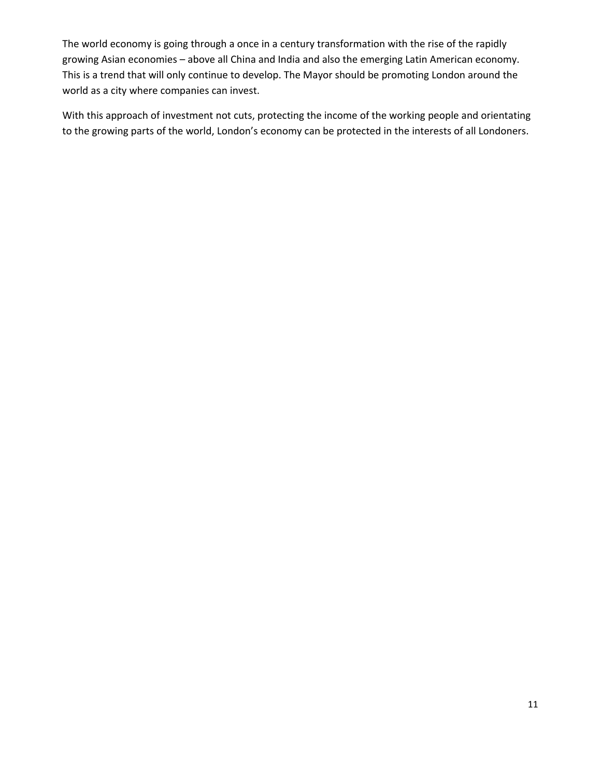The world economy is going through a once in a century transformation with the rise of the rapidly growing Asian economies – above all China and India and also the emerging Latin American economy. This is a trend that will only continue to develop. The Mayor should be promoting London around the world as a city where companies can invest.

With this approach of investment not cuts, protecting the income of the working people and orientating to the growing parts of the world, London's economy can be protected in the interests of all Londoners.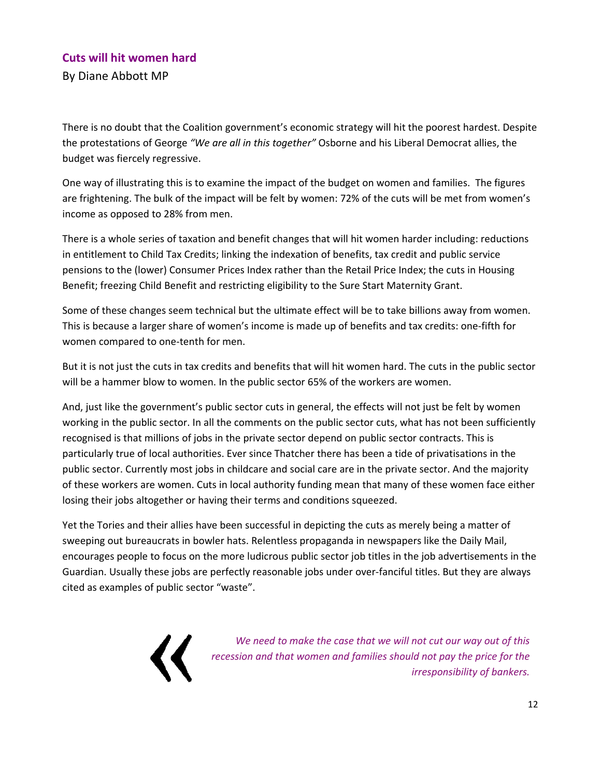# **Cuts will hit women hard**

By Diane Abbott MP

There is no doubt that the Coalition government's economic strategy will hit the poorest hardest. Despite the protestations of George *"We are all in this together"* Osborne and his Liberal Democrat allies, the budget was fiercely regressive.

One way of illustrating this is to examine the impact of the budget on women and families. The figures are frightening. The bulk of the impact will be felt by women: 72% of the cuts will be met from women's income as opposed to 28% from men.

There is a whole series of taxation and benefit changes that will hit women harder including: reductions in entitlement to Child Tax Credits; linking the indexation of benefits, tax credit and public service pensions to the (lower) Consumer Prices Index rather than the Retail Price Index; the cuts in Housing Benefit; freezing Child Benefit and restricting eligibility to the Sure Start Maternity Grant.

Some of these changes seem technical but the ultimate effect will be to take billions away from women. This is because a larger share of women's income is made up of benefits and tax credits: one‐fifth for women compared to one‐tenth for men.

But it is not just the cuts in tax credits and benefits that will hit women hard. The cuts in the public sector will be a hammer blow to women. In the public sector 65% of the workers are women.

And, just like the government's public sector cuts in general, the effects will not just be felt by women working in the public sector. In all the comments on the public sector cuts, what has not been sufficiently recognised is that millions of jobs in the private sector depend on public sector contracts. This is particularly true of local authorities. Ever since Thatcher there has been a tide of privatisations in the public sector. Currently most jobs in childcare and social care are in the private sector. And the majority of these workers are women. Cuts in local authority funding mean that many of these women face either losing their jobs altogether or having their terms and conditions squeezed.

Yet the Tories and their allies have been successful in depicting the cuts as merely being a matter of sweeping out bureaucrats in bowler hats. Relentless propaganda in newspapers like the Daily Mail, encourages people to focus on the more ludicrous public sector job titles in the job advertisements in the Guardian. Usually these jobs are perfectly reasonable jobs under over‐fanciful titles. But they are always cited as examples of public sector "waste".



*We need to make the case that we will not cut our way out of this recession and that women and families should not pay the price for the irresponsibility of bankers.*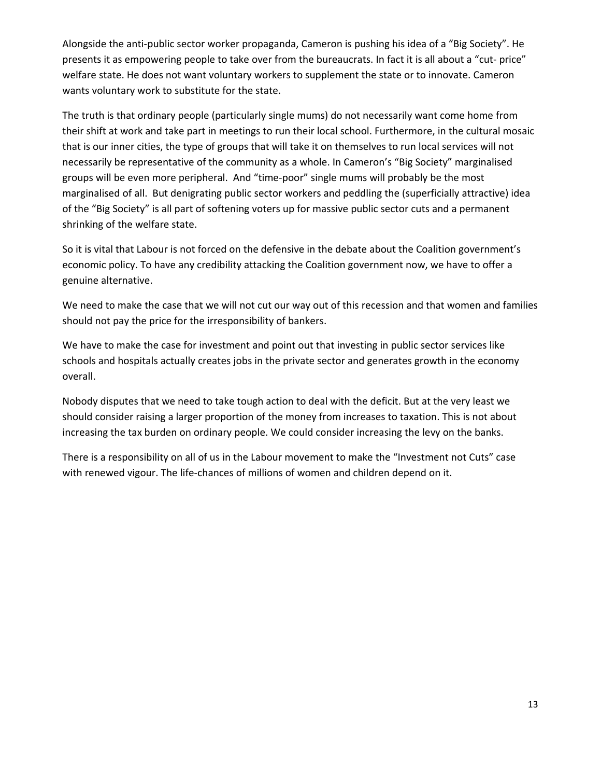Alongside the anti‐public sector worker propaganda, Cameron is pushing his idea of a "Big Society". He presents it as empowering people to take over from the bureaucrats. In fact it is all about a "cut‐ price" welfare state. He does not want voluntary workers to supplement the state or to innovate. Cameron wants voluntary work to substitute for the state.

The truth is that ordinary people (particularly single mums) do not necessarily want come home from their shift at work and take part in meetings to run their local school. Furthermore, in the cultural mosaic that is our inner cities, the type of groups that will take it on themselves to run local services will not necessarily be representative of the community as a whole. In Cameron's "Big Society" marginalised groups will be even more peripheral. And "time‐poor" single mums will probably be the most marginalised of all. But denigrating public sector workers and peddling the (superficially attractive) idea of the "Big Society" is all part of softening voters up for massive public sector cuts and a permanent shrinking of the welfare state.

So it is vital that Labour is not forced on the defensive in the debate about the Coalition government's economic policy. To have any credibility attacking the Coalition government now, we have to offer a genuine alternative.

We need to make the case that we will not cut our way out of this recession and that women and families should not pay the price for the irresponsibility of bankers.

We have to make the case for investment and point out that investing in public sector services like schools and hospitals actually creates jobs in the private sector and generates growth in the economy overall.

Nobody disputes that we need to take tough action to deal with the deficit. But at the very least we should consider raising a larger proportion of the money from increases to taxation. This is not about increasing the tax burden on ordinary people. We could consider increasing the levy on the banks.

There is a responsibility on all of us in the Labour movement to make the "Investment not Cuts" case with renewed vigour. The life-chances of millions of women and children depend on it.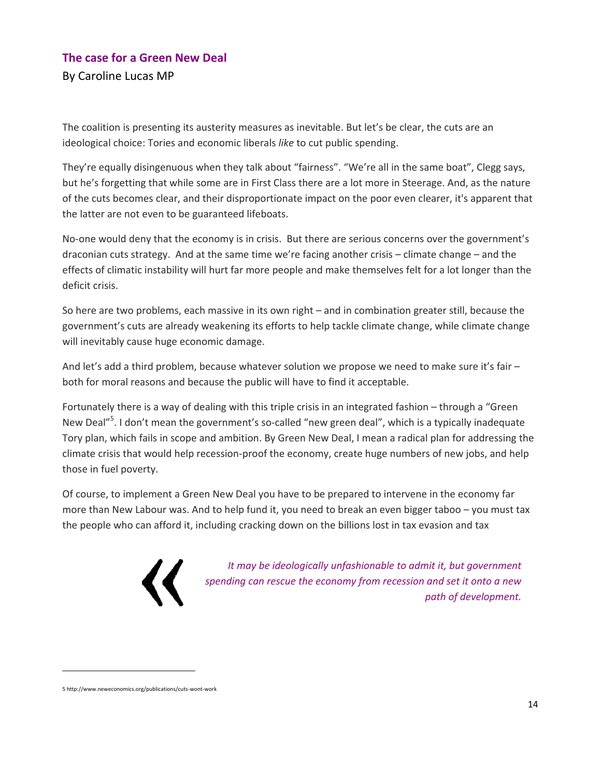# **The case for a Green New Deal**  By Caroline Lucas MP

The coalition is presenting its austerity measures as inevitable. But let's be clear, the cuts are an ideological choice: Tories and economic liberals *like* to cut public spending.

They're equally disingenuous when they talk about "fairness". "We're all in the same boat", Clegg says, but he's forgetting that while some are in First Class there are a lot more in Steerage. And, as the nature of the cuts becomes clear, and their disproportionate impact on the poor even clearer, it's apparent that the latter are not even to be guaranteed lifeboats.

No-one would deny that the economy is in crisis. But there are serious concerns over the government's draconian cuts strategy. And at the same time we're facing another crisis – climate change – and the effects of climatic instability will hurt far more people and make themselves felt for a lot longer than the deficit crisis.

So here are two problems, each massive in its own right – and in combination greater still, because the government's cuts are already weakening its efforts to help tackle climate change, while climate change will inevitably cause huge economic damage.

And let's add a third problem, because whatever solution we propose we need to make sure it's fair – both for moral reasons and because the public will have to find it acceptable.

Fortunately there is a way of dealing with this triple crisis in an integrated fashion – through a "Green New Deal"<sup>5</sup>. I don't mean the government's so-called "new green deal", which is a typically inadequate Tory plan, which fails in scope and ambition. By Green New Deal, I mean a radical plan for addressing the climate crisis that would help recession‐proof the economy, create huge numbers of new jobs, and help those in fuel poverty.

Of course, to implement a Green New Deal you have to be prepared to intervene in the economy far more than New Labour was. And to help fund it, you need to break an even bigger taboo – you must tax the people who can afford it, including cracking down on the billions lost in tax evasion and tax



*It may be ideologically unfashionable to admit it, but government spending can rescue the economy from recession and set it onto a new path of development.*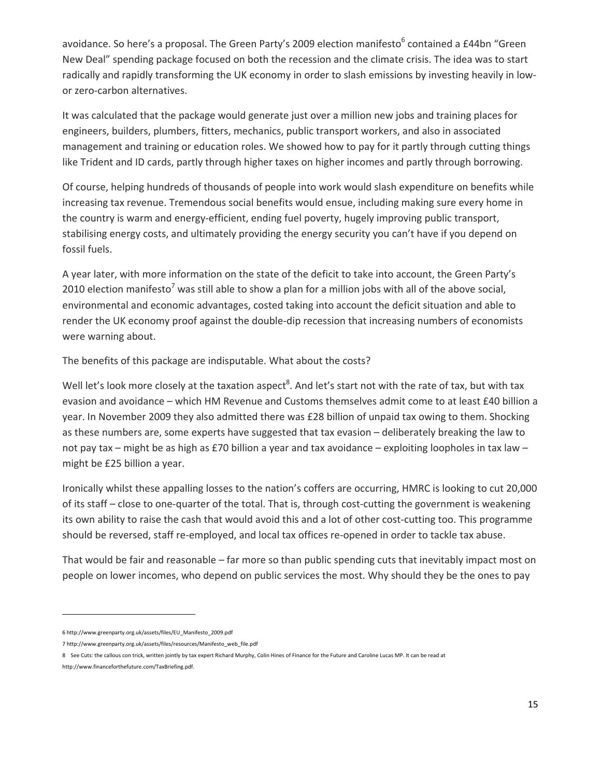avoidance. So here's a proposal. The Green Party's 2009 election manifesto<sup>6</sup> contained a £44bn "Green New Deal" spending package focused on both the recession and the climate crisis. The idea was to start radically and rapidly transforming the UK economy in order to slash emissions by investing heavily in lowor zero‐carbon alternatives.

It was calculated that the package would generate just over a million new jobs and training places for engineers, builders, plumbers, fitters, mechanics, public transport workers, and also in associated management and training or education roles. We showed how to pay for it partly through cutting things like Trident and ID cards, partly through higher taxes on higher incomes and partly through borrowing.

Of course, helping hundreds of thousands of people into work would slash expenditure on benefits while increasing tax revenue. Tremendous social benefits would ensue, including making sure every home in the country is warm and energy-efficient, ending fuel poverty, hugely improving public transport, stabilising energy costs, and ultimately providing the energy security you can't have if you depend on fossil fuels.

A year later, with more information on the state of the deficit to take into account, the Green Party's 2010 election manifesto<sup>7</sup> was still able to show a plan for a million jobs with all of the above social, environmental and economic advantages, costed taking into account the deficit situation and able to render the UK economy proof against the double‐dip recession that increasing numbers of economists were warning about.

The benefits of this package are indisputable. What about the costs?

Well let's look more closely at the taxation aspect $^8$ . And let's start not with the rate of tax, but with tax evasion and avoidance – which HM Revenue and Customs themselves admit come to at least £40 billion a year. In November 2009 they also admitted there was £28 billion of unpaid tax owing to them. Shocking as these numbers are, some experts have suggested that tax evasion – deliberately breaking the law to not pay tax – might be as high as £70 billion a year and tax avoidance – exploiting loopholes in tax law – might be £25 billion a year.

Ironically whilst these appalling losses to the nation's coffers are occurring, HMRC is looking to cut 20,000 of its staff – close to one-quarter of the total. That is, through cost-cutting the government is weakening its own ability to raise the cash that would avoid this and a lot of other cost-cutting too. This programme should be reversed, staff re-employed, and local tax offices re-opened in order to tackle tax abuse.

That would be fair and reasonable – far more so than public spending cuts that inevitably impact most on people on lower incomes, who depend on public services the most. Why should they be the ones to pay

<sup>6</sup> http://www.greenparty.org.uk/assets/files/EU\_Manifesto\_2009.pdf

<sup>7</sup> http://www.greenparty.org.uk/assets/files/resources/Manifesto\_web\_file.pdf

<sup>8</sup> See Cuts: the callous con trick, written jointly by tax expert Richard Murphy, Colin Hines of Finance for the Future and Caroline Lucas MP. It can be read at

http://www.financeforthefuture.com/TaxBriefing.pdf.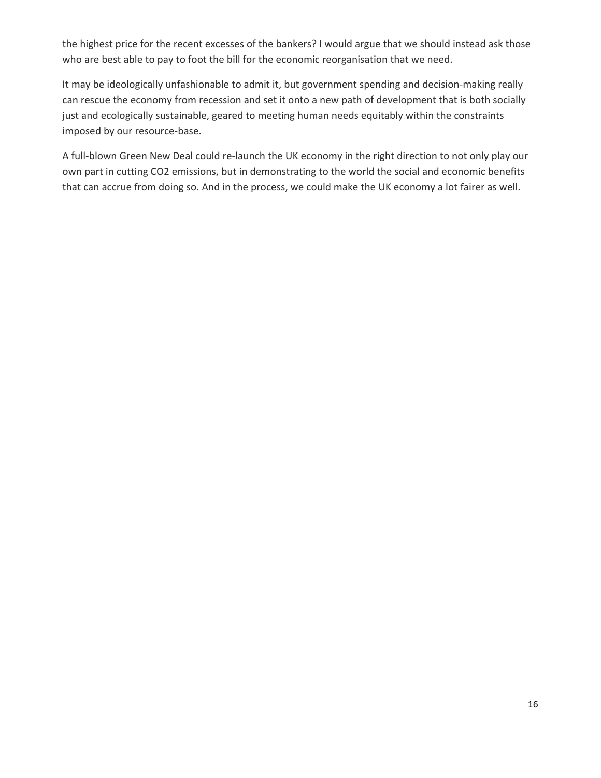the highest price for the recent excesses of the bankers? I would argue that we should instead ask those who are best able to pay to foot the bill for the economic reorganisation that we need.

It may be ideologically unfashionable to admit it, but government spending and decision‐making really can rescue the economy from recession and set it onto a new path of development that is both socially just and ecologically sustainable, geared to meeting human needs equitably within the constraints imposed by our resource‐base.

A full‐blown Green New Deal could re‐launch the UK economy in the right direction to not only play our own part in cutting CO2 emissions, but in demonstrating to the world the social and economic benefits that can accrue from doing so. And in the process, we could make the UK economy a lot fairer as well.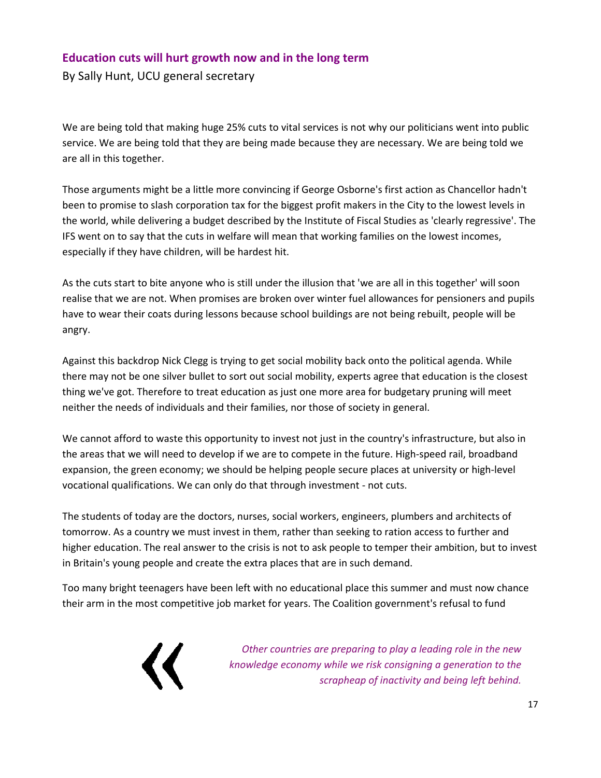# **Education cuts will hurt growth now and in the long term**

By Sally Hunt, UCU general secretary

We are being told that making huge 25% cuts to vital services is not why our politicians went into public service. We are being told that they are being made because they are necessary. We are being told we are all in this together.

Those arguments might be a little more convincing if George Osborne's first action as Chancellor hadn't been to promise to slash corporation tax for the biggest profit makers in the City to the lowest levels in the world, while delivering a budget described by the Institute of Fiscal Studies as 'clearly regressive'. The IFS went on to say that the cuts in welfare will mean that working families on the lowest incomes, especially if they have children, will be hardest hit.

As the cuts start to bite anyone who is still under the illusion that 'we are all in this together' will soon realise that we are not. When promises are broken over winter fuel allowances for pensioners and pupils have to wear their coats during lessons because school buildings are not being rebuilt, people will be angry.

Against this backdrop Nick Clegg is trying to get social mobility back onto the political agenda. While there may not be one silver bullet to sort out social mobility, experts agree that education is the closest thing we've got. Therefore to treat education as just one more area for budgetary pruning will meet neither the needs of individuals and their families, nor those of society in general.

We cannot afford to waste this opportunity to invest not just in the country's infrastructure, but also in the areas that we will need to develop if we are to compete in the future. High-speed rail, broadband expansion, the green economy; we should be helping people secure places at university or high‐level vocational qualifications. We can only do that through investment ‐ not cuts.

The students of today are the doctors, nurses, social workers, engineers, plumbers and architects of tomorrow. As a country we must invest in them, rather than seeking to ration access to further and higher education. The real answer to the crisis is not to ask people to temper their ambition, but to invest in Britain's young people and create the extra places that are in such demand.

Too many bright teenagers have been left with no educational place this summer and must now chance their arm in the most competitive job market for years. The Coalition government's refusal to fund



*Other countries are preparing to play a leading role in the new knowledge economy while we risk consigning a generation to the scrapheap of inactivity and being left behind.*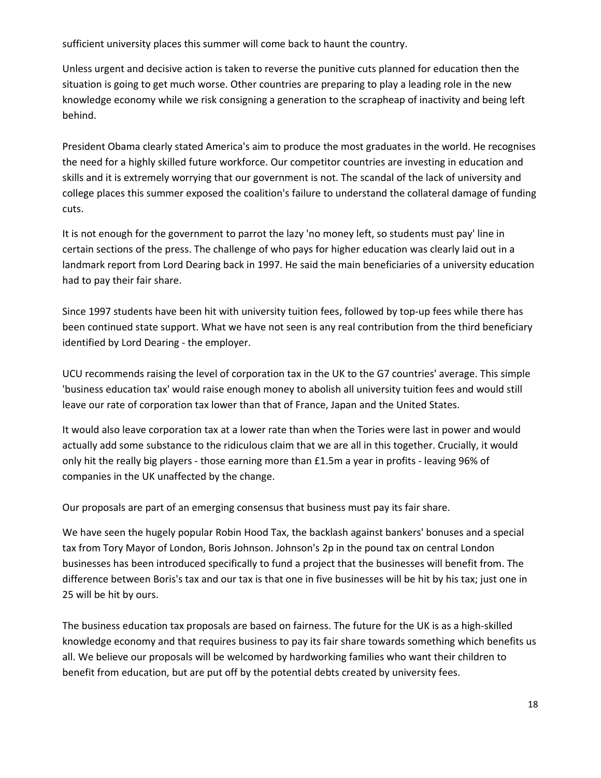sufficient university places this summer will come back to haunt the country.

Unless urgent and decisive action is taken to reverse the punitive cuts planned for education then the situation is going to get much worse. Other countries are preparing to play a leading role in the new knowledge economy while we risk consigning a generation to the scrapheap of inactivity and being left behind.

President Obama clearly stated America's aim to produce the most graduates in the world. He recognises the need for a highly skilled future workforce. Our competitor countries are investing in education and skills and it is extremely worrying that our government is not. The scandal of the lack of university and college places this summer exposed the coalition's failure to understand the collateral damage of funding cuts.

It is not enough for the government to parrot the lazy 'no money left, so students must pay' line in certain sections of the press. The challenge of who pays for higher education was clearly laid out in a landmark report from Lord Dearing back in 1997. He said the main beneficiaries of a university education had to pay their fair share.

Since 1997 students have been hit with university tuition fees, followed by top-up fees while there has been continued state support. What we have not seen is any real contribution from the third beneficiary identified by Lord Dearing ‐ the employer.

UCU recommends raising the level of corporation tax in the UK to the G7 countries' average. This simple 'business education tax' would raise enough money to abolish all university tuition fees and would still leave our rate of corporation tax lower than that of France, Japan and the United States.

It would also leave corporation tax at a lower rate than when the Tories were last in power and would actually add some substance to the ridiculous claim that we are all in this together. Crucially, it would only hit the really big players ‐ those earning more than £1.5m a year in profits ‐ leaving 96% of companies in the UK unaffected by the change.

Our proposals are part of an emerging consensus that business must pay its fair share.

We have seen the hugely popular Robin Hood Tax, the backlash against bankers' bonuses and a special tax from Tory Mayor of London, Boris Johnson. Johnson's 2p in the pound tax on central London businesses has been introduced specifically to fund a project that the businesses will benefit from. The difference between Boris's tax and our tax is that one in five businesses will be hit by his tax; just one in 25 will be hit by ours.

The business education tax proposals are based on fairness. The future for the UK is as a high‐skilled knowledge economy and that requires business to pay its fair share towards something which benefits us all. We believe our proposals will be welcomed by hardworking families who want their children to benefit from education, but are put off by the potential debts created by university fees.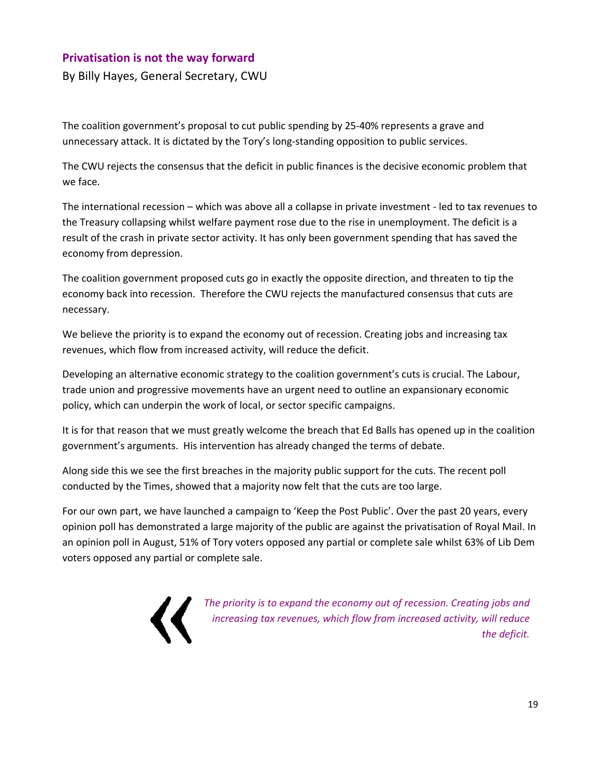# **Privatisation is not the way forward**

By Billy Hayes, General Secretary, CWU

The coalition government's proposal to cut public spending by 25‐40% represents a grave and unnecessary attack. It is dictated by the Tory's long‐standing opposition to public services.

The CWU rejects the consensus that the deficit in public finances is the decisive economic problem that we face.

The international recession – which was above all a collapse in private investment ‐ led to tax revenues to the Treasury collapsing whilst welfare payment rose due to the rise in unemployment. The deficit is a result of the crash in private sector activity. It has only been government spending that has saved the economy from depression.

The coalition government proposed cuts go in exactly the opposite direction, and threaten to tip the economy back into recession. Therefore the CWU rejects the manufactured consensus that cuts are necessary.

We believe the priority is to expand the economy out of recession. Creating jobs and increasing tax revenues, which flow from increased activity, will reduce the deficit.

Developing an alternative economic strategy to the coalition government's cuts is crucial. The Labour, trade union and progressive movements have an urgent need to outline an expansionary economic policy, which can underpin the work of local, or sector specific campaigns.

It is for that reason that we must greatly welcome the breach that Ed Balls has opened up in the coalition government's arguments. His intervention has already changed the terms of debate.

Along side this we see the first breaches in the majority public support for the cuts. The recent poll conducted by the Times, showed that a majority now felt that the cuts are too large.

For our own part, we have launched a campaign to 'Keep the Post Public'. Over the past 20 years, every opinion poll has demonstrated a large majority of the public are against the privatisation of Royal Mail. In an opinion poll in August, 51% of Tory voters opposed any partial or complete sale whilst 63% of Lib Dem voters opposed any partial or complete sale.



*The priority is to expand the economy out of recession. Creating jobs and increasing tax revenues, which flow from increased activity, will reduce the deficit.*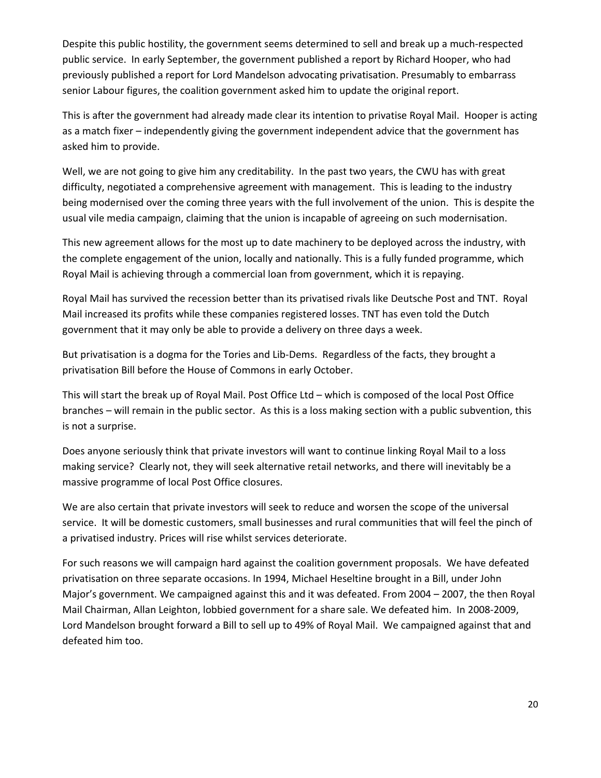Despite this public hostility, the government seems determined to sell and break up a much-respected public service. In early September, the government published a report by Richard Hooper, who had previously published a report for Lord Mandelson advocating privatisation. Presumably to embarrass senior Labour figures, the coalition government asked him to update the original report.

This is after the government had already made clear its intention to privatise Royal Mail. Hooper is acting as a match fixer – independently giving the government independent advice that the government has asked him to provide.

Well, we are not going to give him any creditability. In the past two years, the CWU has with great difficulty, negotiated a comprehensive agreement with management. This is leading to the industry being modernised over the coming three years with the full involvement of the union. This is despite the usual vile media campaign, claiming that the union is incapable of agreeing on such modernisation.

This new agreement allows for the most up to date machinery to be deployed across the industry, with the complete engagement of the union, locally and nationally. This is a fully funded programme, which Royal Mail is achieving through a commercial loan from government, which it is repaying.

Royal Mail has survived the recession better than its privatised rivals like Deutsche Post and TNT. Royal Mail increased its profits while these companies registered losses. TNT has even told the Dutch government that it may only be able to provide a delivery on three days a week.

But privatisation is a dogma for the Tories and Lib-Dems. Regardless of the facts, they brought a privatisation Bill before the House of Commons in early October.

This will start the break up of Royal Mail. Post Office Ltd – which is composed of the local Post Office branches – will remain in the public sector. As this is a loss making section with a public subvention, this is not a surprise.

Does anyone seriously think that private investors will want to continue linking Royal Mail to a loss making service? Clearly not, they will seek alternative retail networks, and there will inevitably be a massive programme of local Post Office closures.

We are also certain that private investors will seek to reduce and worsen the scope of the universal service. It will be domestic customers, small businesses and rural communities that will feel the pinch of a privatised industry. Prices will rise whilst services deteriorate.

For such reasons we will campaign hard against the coalition government proposals. We have defeated privatisation on three separate occasions. In 1994, Michael Heseltine brought in a Bill, under John Major's government. We campaigned against this and it was defeated. From 2004 – 2007, the then Royal Mail Chairman, Allan Leighton, lobbied government for a share sale. We defeated him. In 2008‐2009, Lord Mandelson brought forward a Bill to sell up to 49% of Royal Mail. We campaigned against that and defeated him too.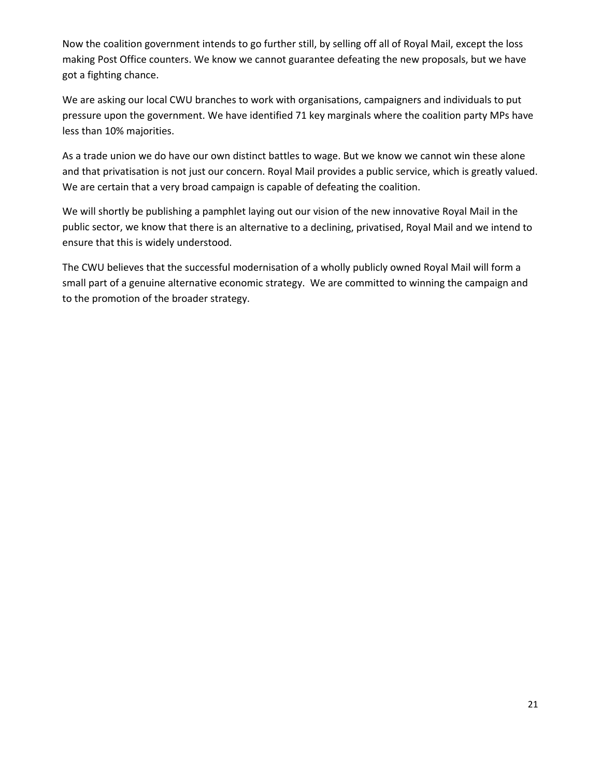Now the coalition government intends to go further still, by selling off all of Royal Mail, except the loss making Post Office counters. We know we cannot guarantee defeating the new proposals, but we have got a fighting chance.

We are asking our local CWU branches to work with organisations, campaigners and individuals to put pressure upon the government. We have identified 71 key marginals where the coalition party MPs have less than 10% majorities.

As a trade union we do have our own distinct battles to wage. But we know we cannot win these alone and that privatisation is not just our concern. Royal Mail provides a public service, which is greatly valued. We are certain that a very broad campaign is capable of defeating the coalition.

We will shortly be publishing a pamphlet laying out our vision of the new innovative Royal Mail in the public sector, we know that there is an alternative to a declining, privatised, Royal Mail and we intend to ensure that this is widely understood.

The CWU believes that the successful modernisation of a wholly publicly owned Royal Mail will form a small part of a genuine alternative economic strategy. We are committed to winning the campaign and to the promotion of the broader strategy.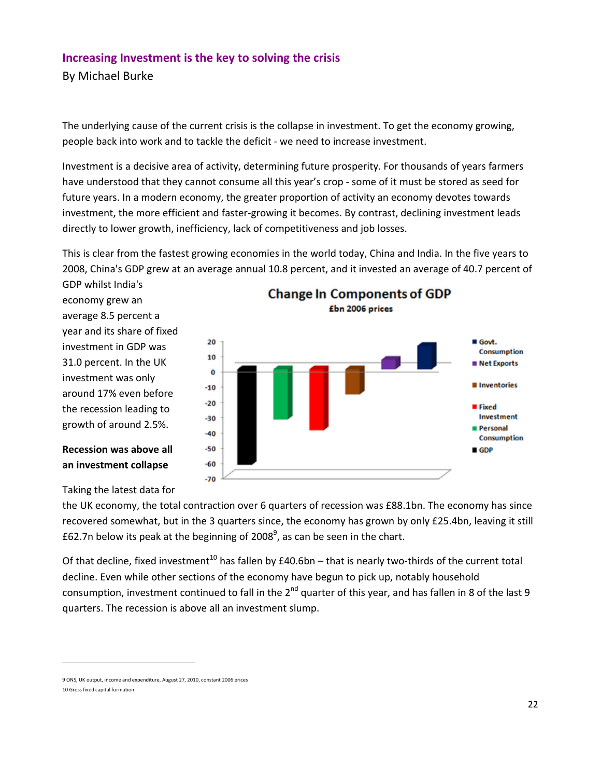# **Increasing Investment is the key to solving the crisis**

By Michael Burke

The underlying cause of the current crisis is the collapse in investment. To get the economy growing, people back into work and to tackle the deficit ‐ we need to increase investment.

Investment is a decisive area of activity, determining future prosperity. For thousands of years farmers have understood that they cannot consume all this year's crop - some of it must be stored as seed for future years. In a modern economy, the greater proportion of activity an economy devotes towards investment, the more efficient and faster-growing it becomes. By contrast, declining investment leads directly to lower growth, inefficiency, lack of competitiveness and job losses.

This is clear from the fastest growing economies in the world today, China and India. In the five years to 2008, China's GDP grew at an average annual 10.8 percent, and it invested an average of 40.7 percent of

GDP whilst India's economy grew an average 8.5 percent a year and its share of fixed investment in GDP was 31.0 percent. In the UK investment was only around 17% even before the recession leading to growth of around 2.5%.

**Recession was above all an investment collapse**



Taking the latest data for

the UK economy, the total contraction over 6 quarters of recession was £88.1bn. The economy has since recovered somewhat, but in the 3 quarters since, the economy has grown by only £25.4bn, leaving it still £62.7n below its peak at the beginning of 2008<sup>9</sup>, as can be seen in the chart.

Of that decline, fixed investment<sup>10</sup> has fallen by  $£40.6$ bn – that is nearly two-thirds of the current total decline. Even while other sections of the economy have begun to pick up, notably household consumption, investment continued to fall in the  $2^{nd}$  quarter of this year, and has fallen in 8 of the last 9 quarters. The recession is above all an investment slump.

<sup>9</sup> ONS, UK output, income and expenditure, August 27, 2010, constant 2006 prices 10 Gross fixed capital formation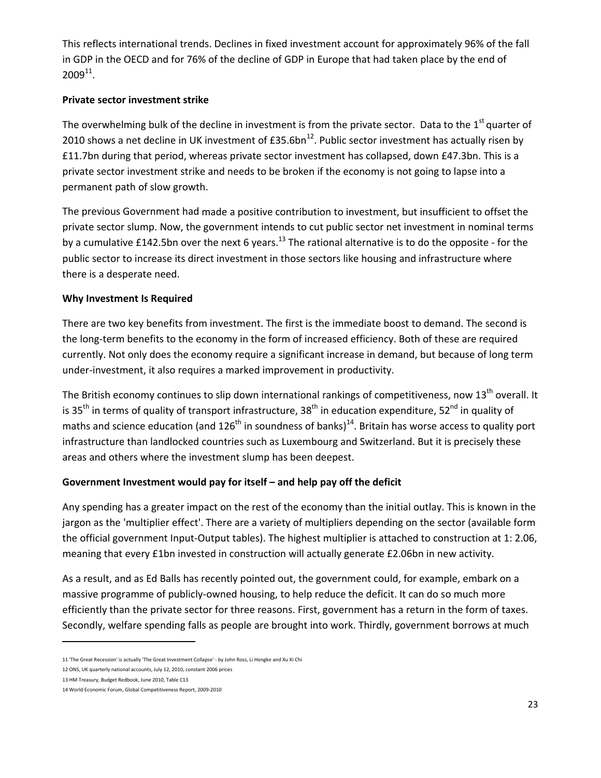This reflects international trends. Declines in fixed investment account for approximately 96% of the fall in GDP in the OECD and for 76% of the decline of GDP in Europe that had taken place by the end of  $2009^{11}$ .

#### **Private sector investment strike**

The overwhelming bulk of the decline in investment is from the private sector. Data to the  $1<sup>st</sup>$  quarter of 2010 shows a net decline in UK investment of  $E35.6$ bn<sup>12</sup>. Public sector investment has actually risen by £11.7bn during that period, whereas private sector investment has collapsed, down £47.3bn. This is a private sector investment strike and needs to be broken if the economy is not going to lapse into a permanent path of slow growth.

The previous Government had made a positive contribution to investment, but insufficient to offset the private sector slump. Now, the government intends to cut public sector net investment in nominal terms by a cumulative £142.5bn over the next 6 years.<sup>13</sup> The rational alternative is to do the opposite - for the public sector to increase its direct investment in those sectors like housing and infrastructure where there is a desperate need.

#### **Why Investment Is Required**

There are two key benefits from investment. The first is the immediate boost to demand. The second is the long‐term benefits to the economy in the form of increased efficiency. Both of these are required currently. Not only does the economy require a significant increase in demand, but because of long term under‐investment, it also requires a marked improvement in productivity.

The British economy continues to slip down international rankings of competitiveness, now  $13<sup>th</sup>$  overall. It is 35<sup>th</sup> in terms of quality of transport infrastructure, 38<sup>th</sup> in education expenditure, 52<sup>nd</sup> in quality of maths and science education (and  $126<sup>th</sup>$  in soundness of banks)<sup>14</sup>. Britain has worse access to quality port infrastructure than landlocked countries such as Luxembourg and Switzerland. But it is precisely these areas and others where the investment slump has been deepest.

#### **Government Investment would pay for itself – and help pay off the deficit**

Any spending has a greater impact on the rest of the economy than the initial outlay. This is known in the jargon as the 'multiplier effect'. There are a variety of multipliers depending on the sector (available form the official government Input‐Output tables). The highest multiplier is attached to construction at 1: 2.06, meaning that every £1bn invested in construction will actually generate £2.06bn in new activity.

As a result, and as Ed Balls has recently pointed out, the government could, for example, embark on a massive programme of publicly-owned housing, to help reduce the deficit. It can do so much more efficiently than the private sector for three reasons. First, government has a return in the form of taxes. Secondly, welfare spending falls as people are brought into work. Thirdly, government borrows at much

<sup>11</sup> 'The Great Recession' is actually 'The Great Investment Collapse' ‐ by John Ross, Li Hongke and Xu Xi Chi

<sup>12</sup> ONS, UK quarterly national accounts, July 12, 2010, constant 2006 prices

<sup>13</sup> HM Treasury, Budget Redbook, June 2010, Table C13

<sup>14</sup> World Economic Forum, Global Competitiveness Report, 2009‐2010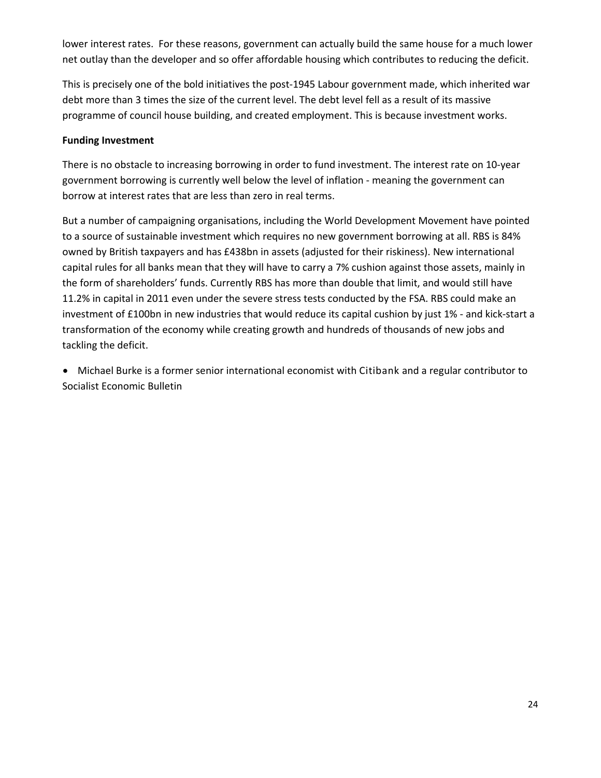lower interest rates. For these reasons, government can actually build the same house for a much lower net outlay than the developer and so offer affordable housing which contributes to reducing the deficit.

This is precisely one of the bold initiatives the post-1945 Labour government made, which inherited war debt more than 3 times the size of the current level. The debt level fell as a result of its massive programme of council house building, and created employment. This is because investment works.

#### **Funding Investment**

There is no obstacle to increasing borrowing in order to fund investment. The interest rate on 10‐year government borrowing is currently well below the level of inflation ‐ meaning the government can borrow at interest rates that are less than zero in real terms.

But a number of campaigning organisations, including the World Development Movement have pointed to a source of sustainable investment which requires no new government borrowing at all. RBS is 84% owned by British taxpayers and has £438bn in assets (adjusted for their riskiness). New international capital rules for all banks mean that they will have to carry a 7% cushion against those assets, mainly in the form of shareholders' funds. Currently RBS has more than double that limit, and would still have 11.2% in capital in 2011 even under the severe stress tests conducted by the FSA. RBS could make an investment of £100bn in new industries that would reduce its capital cushion by just 1% ‐ and kick‐start a transformation of the economy while creating growth and hundreds of thousands of new jobs and tackling the deficit.

• Michael Burke is a former senior international economist with Citibank and a regular contributor to Socialist Economic Bulletin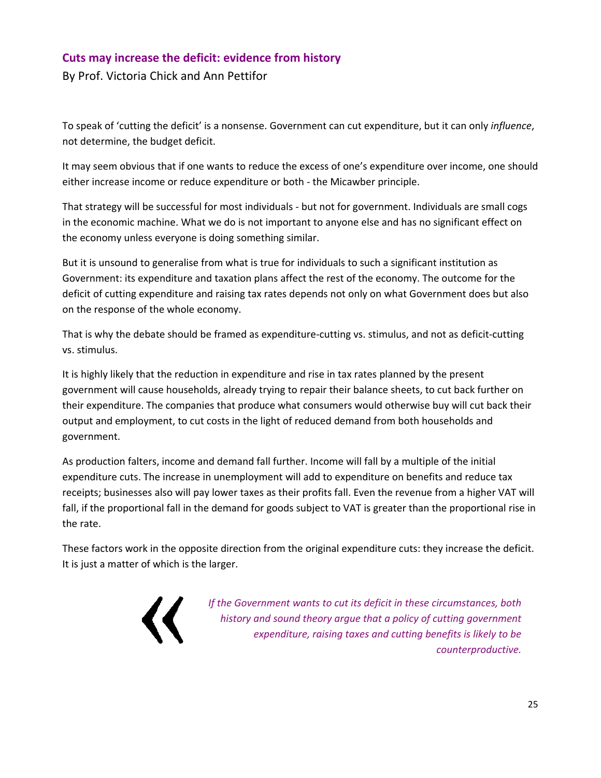# **Cuts may increase the deficit: evidence from history**

By Prof. Victoria Chick and Ann Pettifor

To speak of 'cutting the deficit' is a nonsense. Government can cut expenditure, but it can only *influence*, not determine, the budget deficit.

It may seem obvious that if one wants to reduce the excess of one's expenditure over income, one should either increase income or reduce expenditure or both ‐ the Micawber principle.

That strategy will be successful for most individuals ‐ but not for government. Individuals are small cogs in the economic machine. What we do is not important to anyone else and has no significant effect on the economy unless everyone is doing something similar.

But it is unsound to generalise from what is true for individuals to such a significant institution as Government: its expenditure and taxation plans affect the rest of the economy. The outcome for the deficit of cutting expenditure and raising tax rates depends not only on what Government does but also on the response of the whole economy.

That is why the debate should be framed as expenditure‐cutting vs. stimulus, and not as deficit‐cutting vs. stimulus.

It is highly likely that the reduction in expenditure and rise in tax rates planned by the present government will cause households, already trying to repair their balance sheets, to cut back further on their expenditure. The companies that produce what consumers would otherwise buy will cut back their output and employment, to cut costs in the light of reduced demand from both households and government.

As production falters, income and demand fall further. Income will fall by a multiple of the initial expenditure cuts. The increase in unemployment will add to expenditure on benefits and reduce tax receipts; businesses also will pay lower taxes as their profits fall. Even the revenue from a higher VAT will fall, if the proportional fall in the demand for goods subject to VAT is greater than the proportional rise in the rate.

These factors work in the opposite direction from the original expenditure cuts: they increase the deficit. It is just a matter of which is the larger.



*If the Government wants to cut its deficit in these circumstances, both history and sound theory argue that a policy of cutting government expenditure, raising taxes and cutting benefits is likely to be counterproductive.*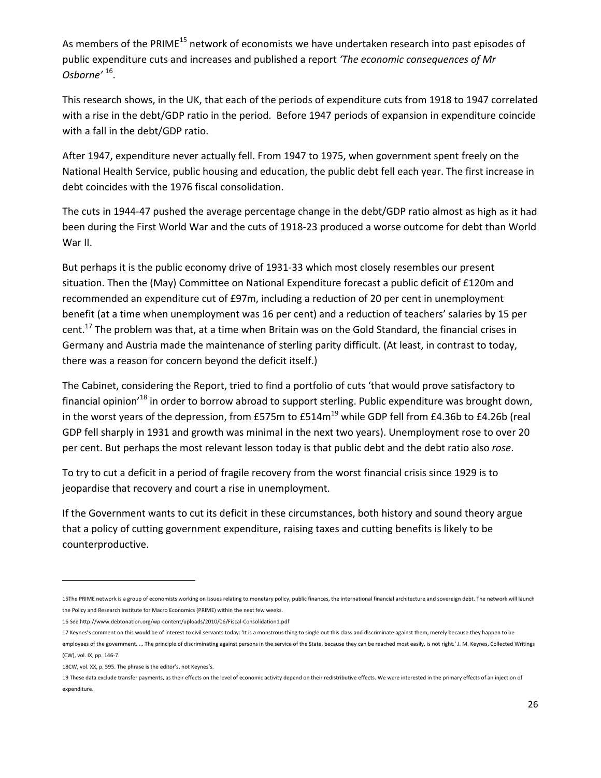As members of the PRIME<sup>15</sup> network of economists we have undertaken research into past episodes of public expenditure cuts and increases and published a report *'The economic consequences of Mr Osborne'* 16.

This research shows, in the UK, that each of the periods of expenditure cuts from 1918 to 1947 correlated with a rise in the debt/GDP ratio in the period. Before 1947 periods of expansion in expenditure coincide with a fall in the debt/GDP ratio.

After 1947, expenditure never actually fell. From 1947 to 1975, when government spent freely on the National Health Service, public housing and education, the public debt fell each year. The first increase in debt coincides with the 1976 fiscal consolidation.

The cuts in 1944‐47 pushed the average percentage change in the debt/GDP ratio almost as high as it had been during the First World War and the cuts of 1918‐23 produced a worse outcome for debt than World War II.

But perhaps it is the public economy drive of 1931‐33 which most closely resembles our present situation. Then the (May) Committee on National Expenditure forecast a public deficit of £120m and recommended an expenditure cut of £97m, including a reduction of 20 per cent in unemployment benefit (at a time when unemployment was 16 per cent) and a reduction of teachers' salaries by 15 per cent.<sup>17</sup> The problem was that, at a time when Britain was on the Gold Standard, the financial crises in Germany and Austria made the maintenance of sterling parity difficult. (At least, in contrast to today, there was a reason for concern beyond the deficit itself.)

The Cabinet, considering the Report, tried to find a portfolio of cuts 'that would prove satisfactory to financial opinion<sup>18</sup> in order to borrow abroad to support sterling. Public expenditure was brought down, in the worst years of the depression, from £575m to  $E514m^{19}$  while GDP fell from £4.36b to £4.26b (real GDP fell sharply in 1931 and growth was minimal in the next two years). Unemployment rose to over 20 per cent. But perhaps the most relevant lesson today is that public debt and the debt ratio also *rose*.

To try to cut a deficit in a period of fragile recovery from the worst financial crisis since 1929 is to jeopardise that recovery and court a rise in unemployment.

If the Government wants to cut its deficit in these circumstances, both history and sound theory argue that a policy of cutting government expenditure, raising taxes and cutting benefits is likely to be counterproductive.

<sup>15</sup>The PRIME network is a group of economists working on issues relating to monetary policy, public finances, the international financial architecture and sovereign debt. The network will launch the Policy and Research Institute for Macro Economics (PRIME) within the next few weeks.

<sup>16</sup> See http://www.debtonation.org/wp‐content/uploads/2010/06/Fiscal‐Consolidation1.pdf

<sup>17</sup> Keynes's comment on this would be of interest to civil servants today: 'It is a monstrous thing to single out this class and discriminate against them, merely because they happen to be employees of the government. ... The principle of discriminating against persons in the service of the State, because they can be reached most easily, is not right.' J. M. Keynes, Collected Writings (CW), vol. IX, pp. 146‐7.

<sup>18</sup>CW, vol. XX, p. 595. The phrase is the editor's, not Keynes's.

<sup>19</sup> These data exclude transfer payments, as their effects on the level of economic activity depend on their redistributive effects. We were interested in the primary effects of an injection of expenditure.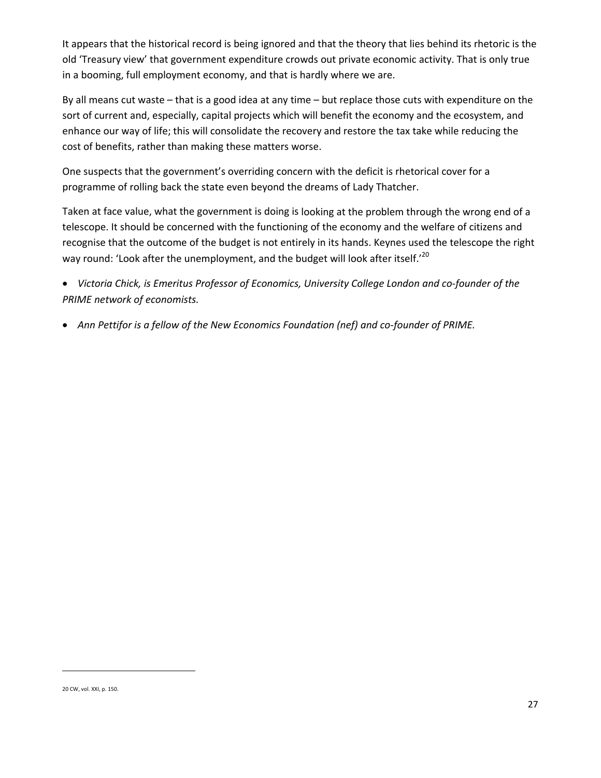It appears that the historical record is being ignored and that the theory that lies behind its rhetoric is the old 'Treasury view' that government expenditure crowds out private economic activity. That is only true in a booming, full employment economy, and that is hardly where we are.

By all means cut waste – that is a good idea at any time – but replace those cuts with expenditure on the sort of current and, especially, capital projects which will benefit the economy and the ecosystem, and enhance our way of life; this will consolidate the recovery and restore the tax take while reducing the cost of benefits, rather than making these matters worse.

One suspects that the government's overriding concern with the deficit is rhetorical cover for a programme of rolling back the state even beyond the dreams of Lady Thatcher.

Taken at face value, what the government is doing is looking at the problem through the wrong end of a telescope. It should be concerned with the functioning of the economy and the welfare of citizens and recognise that the outcome of the budget is not entirely in its hands. Keynes used the telescope the right way round: 'Look after the unemployment, and the budget will look after itself.'<sup>20</sup>

• *Victoria Chick, is Emeritus Professor of Economics, University College London and co‐founder of the PRIME network of economists.*

• *Ann Pettifor is a fellow of the New Economics Foundation (nef) and co‐founder of PRIME.*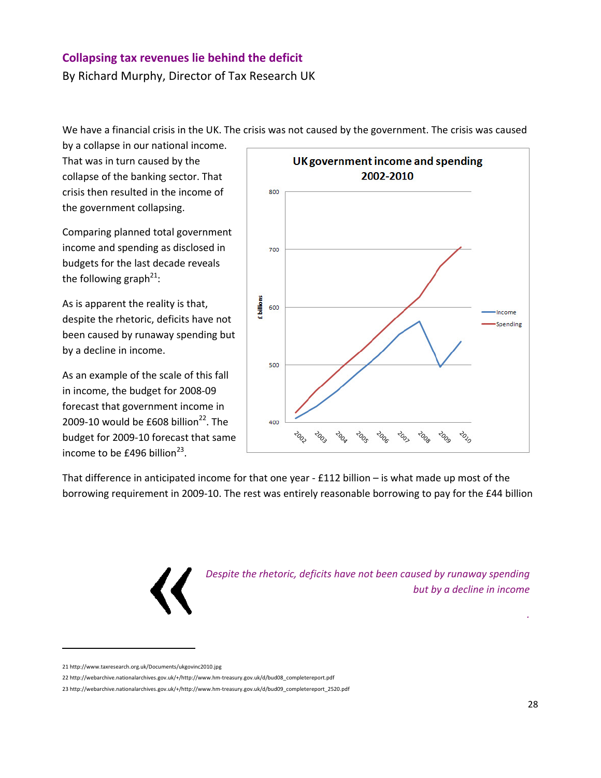# **Collapsing tax revenues lie behind the deficit**

By Richard Murphy, Director of Tax Research UK

We have a financial crisis in the UK. The crisis was not caused by the government. The crisis was caused

by a collapse in our national income. That was in turn caused by the collapse of the banking sector. That crisis then resulted in the income of the government collapsing.

Comparing planned total government income and spending as disclosed in budgets for the last decade reveals the following graph<sup>21</sup>:

As is apparent the reality is that, despite the rhetoric, deficits have not been caused by runaway spending but by a decline in income.

As an example of the scale of this fall in income, the budget for 2008‐09 forecast that government income in 2009-10 would be £608 billion<sup>22</sup>. The budget for 2009‐10 forecast that same income to be £496 billion $^{23}$ .



That difference in anticipated income for that one year ‐ £112 billion – is what made up most of the borrowing requirement in 2009‐10. The rest was entirely reasonable borrowing to pay for the £44 billion



*Despite the rhetoric, deficits have not been caused by runaway spending but by a decline in income*

*.*

<sup>21</sup> http://www.taxresearch.org.uk/Documents/ukgovinc2010.jpg

<sup>22</sup> http://webarchive.nationalarchives.gov.uk/+/http://www.hm‐treasury.gov.uk/d/bud08\_completereport.pdf

<sup>23</sup> http://webarchive.nationalarchives.gov.uk/+/http://www.hm‐treasury.gov.uk/d/bud09\_completereport\_2520.pdf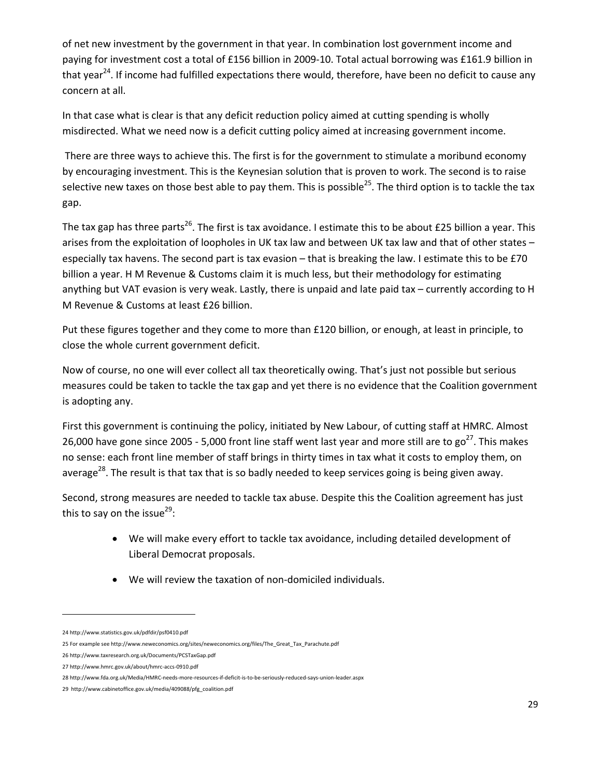of net new investment by the government in that year. In combination lost government income and paying for investment cost a total of £156 billion in 2009-10. Total actual borrowing was £161.9 billion in that year<sup>24</sup>. If income had fulfilled expectations there would, therefore, have been no deficit to cause any concern at all.

In that case what is clear is that any deficit reduction policy aimed at cutting spending is wholly misdirected. What we need now is a deficit cutting policy aimed at increasing government income.

There are three ways to achieve this. The first is for the government to stimulate a moribund economy by encouraging investment. This is the Keynesian solution that is proven to work. The second is to raise selective new taxes on those best able to pay them. This is possible<sup>25</sup>. The third option is to tackle the tax gap.

The tax gap has three parts<sup>26</sup>. The first is tax avoidance. I estimate this to be about £25 billion a year. This arises from the exploitation of loopholes in UK tax law and between UK tax law and that of other states – especially tax havens. The second part is tax evasion – that is breaking the law. I estimate this to be £70 billion a year. H M Revenue & Customs claim it is much less, but their methodology for estimating anything but VAT evasion is very weak. Lastly, there is unpaid and late paid tax – currently according to H M Revenue & Customs at least £26 billion.

Put these figures together and they come to more than £120 billion, or enough, at least in principle, to close the whole current government deficit.

Now of course, no one will ever collect all tax theoretically owing. That's just not possible but serious measures could be taken to tackle the tax gap and yet there is no evidence that the Coalition government is adopting any.

First this government is continuing the policy, initiated by New Labour, of cutting staff at HMRC. Almost 26,000 have gone since 2005 - 5,000 front line staff went last year and more still are to  $go^{27}$ . This makes no sense: each front line member of staff brings in thirty times in tax what it costs to employ them, on average<sup>28</sup>. The result is that tax that is so badly needed to keep services going is being given away.

Second, strong measures are needed to tackle tax abuse. Despite this the Coalition agreement has just this to say on the issue<sup>29</sup>:

- We will make every effort to tackle tax avoidance, including detailed development of Liberal Democrat proposals.
- We will review the taxation of non‐domiciled individuals.

<sup>24</sup> http://www.statistics.gov.uk/pdfdir/psf0410.pdf

<sup>25</sup> For example see http://www.neweconomics.org/sites/neweconomics.org/files/The Great Tax Parachute.pdf

<sup>26</sup> http://www.taxresearch.org.uk/Documents/PCSTaxGap.pdf

<sup>27</sup> http://www.hmrc.gov.uk/about/hmrc‐accs‐0910.pdf

<sup>28</sup> http://www.fda.org.uk/Media/HMRC‐needs‐more‐resources‐if‐deficit‐is‐to‐be‐seriously‐reduced‐says‐union‐leader.aspx

<sup>29</sup> http://www.cabinetoffice.gov.uk/media/409088/pfg\_coalition.pdf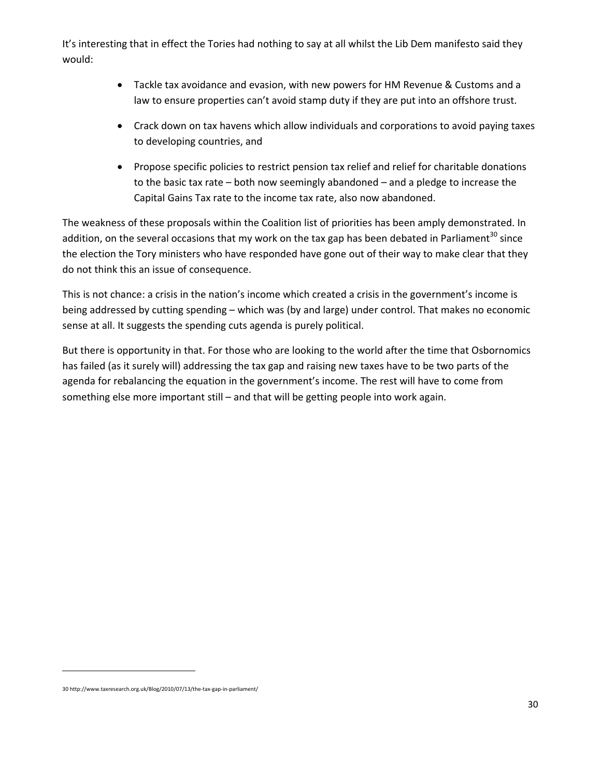It's interesting that in effect the Tories had nothing to say at all whilst the Lib Dem manifesto said they would:

- Tackle tax avoidance and evasion, with new powers for HM Revenue & Customs and a law to ensure properties can't avoid stamp duty if they are put into an offshore trust.
- Crack down on tax havens which allow individuals and corporations to avoid paying taxes to developing countries, and
- Propose specific policies to restrict pension tax relief and relief for charitable donations to the basic tax rate – both now seemingly abandoned – and a pledge to increase the Capital Gains Tax rate to the income tax rate, also now abandoned.

The weakness of these proposals within the Coalition list of priorities has been amply demonstrated. In addition, on the several occasions that my work on the tax gap has been debated in Parliament<sup>30</sup> since the election the Tory ministers who have responded have gone out of their way to make clear that they do not think this an issue of consequence.

This is not chance: a crisis in the nation's income which created a crisis in the government's income is being addressed by cutting spending – which was (by and large) under control. That makes no economic sense at all. It suggests the spending cuts agenda is purely political.

But there is opportunity in that. For those who are looking to the world after the time that Osbornomics has failed (as it surely will) addressing the tax gap and raising new taxes have to be two parts of the agenda for rebalancing the equation in the government's income. The rest will have to come from something else more important still – and that will be getting people into work again.

<sup>30</sup> http://www.taxresearch.org.uk/Blog/2010/07/13/the‐tax‐gap‐in‐parliament/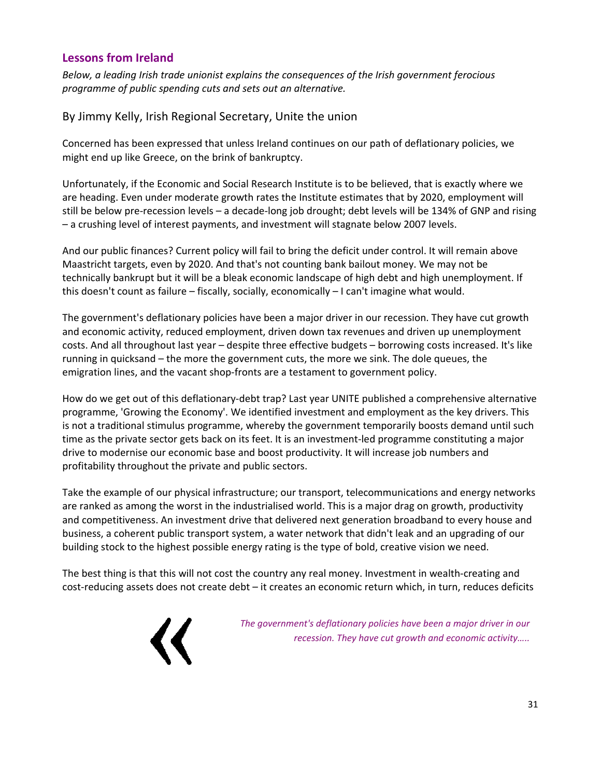# **Lessons from Ireland**

*Below, a leading Irish trade unionist explains the consequences of the Irish government ferocious programme of public spending cuts and sets out an alternative.*

By Jimmy Kelly, Irish Regional Secretary, Unite the union

Concerned has been expressed that unless Ireland continues on our path of deflationary policies, we might end up like Greece, on the brink of bankruptcy.

Unfortunately, if the Economic and Social Research Institute is to be believed, that is exactly where we are heading. Even under moderate growth rates the Institute estimates that by 2020, employment will still be below pre‐recession levels – a decade‐long job drought; debt levels will be 134% of GNP and rising – a crushing level of interest payments, and investment will stagnate below 2007 levels.

And our public finances? Current policy will fail to bring the deficit under control. It will remain above Maastricht targets, even by 2020. And that's not counting bank bailout money. We may not be technically bankrupt but it will be a bleak economic landscape of high debt and high unemployment. If this doesn't count as failure – fiscally, socially, economically – I can't imagine what would.

The government's deflationary policies have been a major driver in our recession. They have cut growth and economic activity, reduced employment, driven down tax revenues and driven up unemployment costs. And all throughout last year – despite three effective budgets – borrowing costs increased. It's like running in quicksand – the more the government cuts, the more we sink. The dole queues, the emigration lines, and the vacant shop-fronts are a testament to government policy.

How do we get out of this deflationary-debt trap? Last year UNITE published a comprehensive alternative programme, 'Growing the Economy'. We identified investment and employment as the key drivers. This is not a traditional stimulus programme, whereby the government temporarily boosts demand until such time as the private sector gets back on its feet. It is an investment‐led programme constituting a major drive to modernise our economic base and boost productivity. It will increase job numbers and profitability throughout the private and public sectors.

Take the example of our physical infrastructure; our transport, telecommunications and energy networks are ranked as among the worst in the industrialised world. This is a major drag on growth, productivity and competitiveness. An investment drive that delivered next generation broadband to every house and business, a coherent public transport system, a water network that didn't leak and an upgrading of our building stock to the highest possible energy rating is the type of bold, creative vision we need.

The best thing is that this will not cost the country any real money. Investment in wealth‐creating and cost-reducing assets does not create debt – it creates an economic return which, in turn, reduces deficits



*The government's deflationary policies have been a major driver in our recession. They have cut growth and economic activity…..*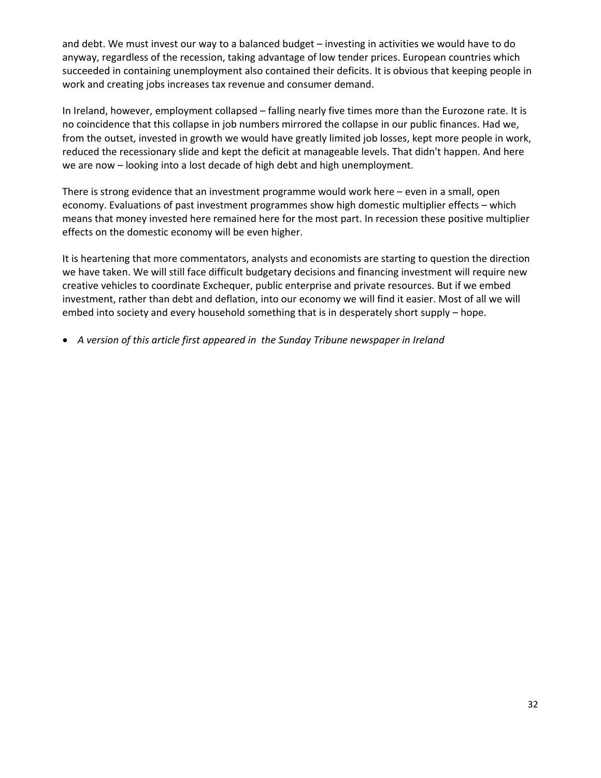and debt. We must invest our way to a balanced budget – investing in activities we would have to do anyway, regardless of the recession, taking advantage of low tender prices. European countries which succeeded in containing unemployment also contained their deficits. It is obvious that keeping people in work and creating jobs increases tax revenue and consumer demand.

In Ireland, however, employment collapsed – falling nearly five times more than the Eurozone rate. It is no coincidence that this collapse in job numbers mirrored the collapse in our public finances. Had we, from the outset, invested in growth we would have greatly limited job losses, kept more people in work, reduced the recessionary slide and kept the deficit at manageable levels. That didn't happen. And here we are now – looking into a lost decade of high debt and high unemployment.

There is strong evidence that an investment programme would work here – even in a small, open economy. Evaluations of past investment programmes show high domestic multiplier effects – which means that money invested here remained here for the most part. In recession these positive multiplier effects on the domestic economy will be even higher.

It is heartening that more commentators, analysts and economists are starting to question the direction we have taken. We will still face difficult budgetary decisions and financing investment will require new creative vehicles to coordinate Exchequer, public enterprise and private resources. But if we embed investment, rather than debt and deflation, into our economy we will find it easier. Most of all we will embed into society and every household something that is in desperately short supply – hope.

• *A version of this article first appeared in the Sunday Tribune newspaper in Ireland*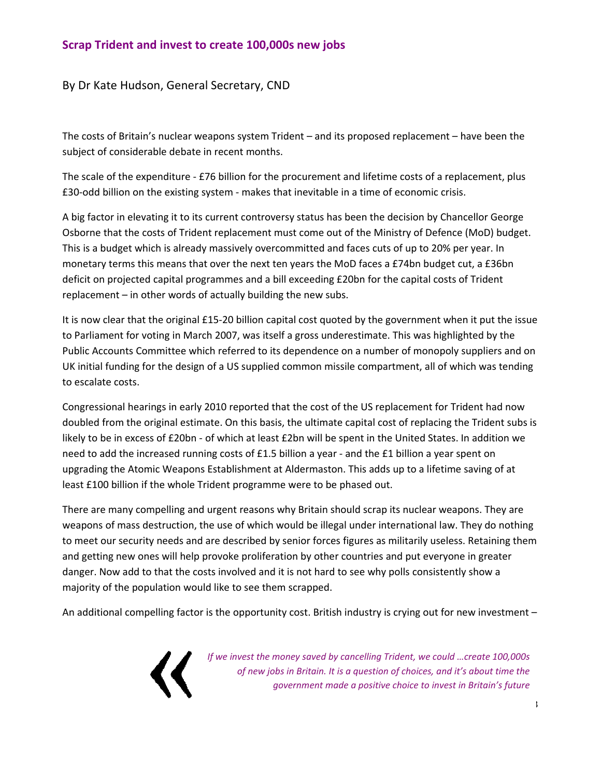# **Scrap Trident and invest to create 100,000s new jobs**

By Dr Kate Hudson, General Secretary, CND

The costs of Britain's nuclear weapons system Trident – and its proposed replacement – have been the subject of considerable debate in recent months.

The scale of the expenditure - £76 billion for the procurement and lifetime costs of a replacement, plus £30‐odd billion on the existing system ‐ makes that inevitable in a time of economic crisis.

A big factor in elevating it to its current controversy status has been the decision by Chancellor George Osborne that the costs of Trident replacement must come out of the Ministry of Defence (MoD) budget. This is a budget which is already massively overcommitted and faces cuts of up to 20% per year. In monetary terms this means that over the next ten years the MoD faces a £74bn budget cut, a £36bn deficit on projected capital programmes and a bill exceeding £20bn for the capital costs of Trident replacement – in other words of actually building the new subs.

It is now clear that the original £15‐20 billion capital cost quoted by the government when it put the issue to Parliament for voting in March 2007, was itself a gross underestimate. This was highlighted by the Public Accounts Committee which referred to its dependence on a number of monopoly suppliers and on UK initial funding for the design of a US supplied common missile compartment, all of which was tending to escalate costs.

Congressional hearings in early 2010 reported that the cost of the US replacement for Trident had now doubled from the original estimate. On this basis, the ultimate capital cost of replacing the Trident subs is likely to be in excess of £20bn ‐ of which at least £2bn will be spent in the United States. In addition we need to add the increased running costs of £1.5 billion a year - and the £1 billion a year spent on upgrading the Atomic Weapons Establishment at Aldermaston. This adds up to a lifetime saving of at least £100 billion if the whole Trident programme were to be phased out.

There are many compelling and urgent reasons why Britain should scrap its nuclear weapons. They are weapons of mass destruction, the use of which would be illegal under international law. They do nothing to meet our security needs and are described by senior forces figures as militarily useless. Retaining them and getting new ones will help provoke proliferation by other countries and put everyone in greater danger. Now add to that the costs involved and it is not hard to see why polls consistently show a majority of the population would like to see them scrapped.

An additional compelling factor is the opportunity cost. British industry is crying out for new investment –



*If we invest the money saved by cancelling Trident, we could …create 100,000s of new jobs in Britain. It is a question of choices, and it's about time the government made a positive choice to invest in Britain's future*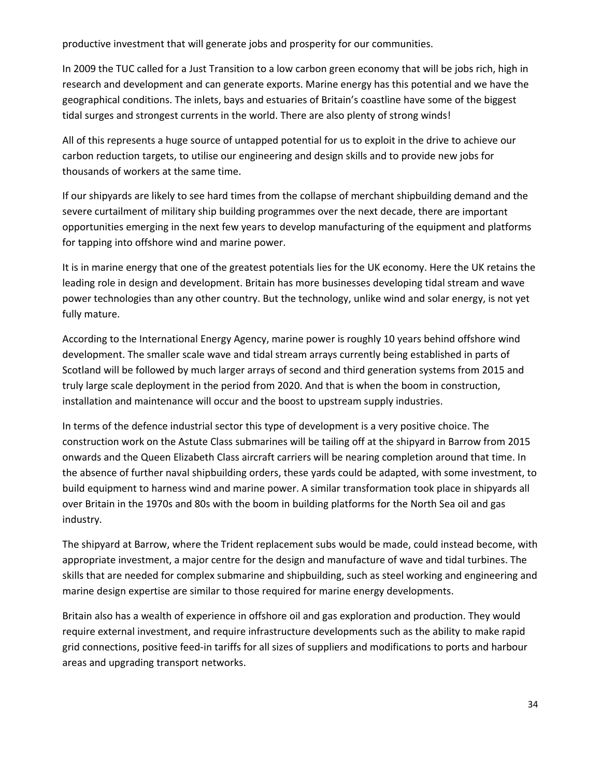productive investment that will generate jobs and prosperity for our communities.

In 2009 the TUC called for a Just Transition to a low carbon green economy that will be jobs rich, high in research and development and can generate exports. Marine energy has this potential and we have the geographical conditions. The inlets, bays and estuaries of Britain's coastline have some of the biggest tidal surges and strongest currents in the world. There are also plenty of strong winds!

All of this represents a huge source of untapped potential for us to exploit in the drive to achieve our carbon reduction targets, to utilise our engineering and design skills and to provide new jobs for thousands of workers at the same time.

If our shipyards are likely to see hard times from the collapse of merchant shipbuilding demand and the severe curtailment of military ship building programmes over the next decade, there are important opportunities emerging in the next few years to develop manufacturing of the equipment and platforms for tapping into offshore wind and marine power.

It is in marine energy that one of the greatest potentials lies for the UK economy. Here the UK retains the leading role in design and development. Britain has more businesses developing tidal stream and wave power technologies than any other country. But the technology, unlike wind and solar energy, is not yet fully mature.

According to the International Energy Agency, marine power is roughly 10 years behind offshore wind development. The smaller scale wave and tidal stream arrays currently being established in parts of Scotland will be followed by much larger arrays of second and third generation systems from 2015 and truly large scale deployment in the period from 2020. And that is when the boom in construction, installation and maintenance will occur and the boost to upstream supply industries.

In terms of the defence industrial sector this type of development is a very positive choice. The construction work on the Astute Class submarines will be tailing off at the shipyard in Barrow from 2015 onwards and the Queen Elizabeth Class aircraft carriers will be nearing completion around that time. In the absence of further naval shipbuilding orders, these yards could be adapted, with some investment, to build equipment to harness wind and marine power. A similar transformation took place in shipyards all over Britain in the 1970s and 80s with the boom in building platforms for the North Sea oil and gas industry.

The shipyard at Barrow, where the Trident replacement subs would be made, could instead become, with appropriate investment, a major centre for the design and manufacture of wave and tidal turbines. The skills that are needed for complex submarine and shipbuilding, such as steel working and engineering and marine design expertise are similar to those required for marine energy developments.

Britain also has a wealth of experience in offshore oil and gas exploration and production. They would require external investment, and require infrastructure developments such as the ability to make rapid grid connections, positive feed‐in tariffs for all sizes of suppliers and modifications to ports and harbour areas and upgrading transport networks.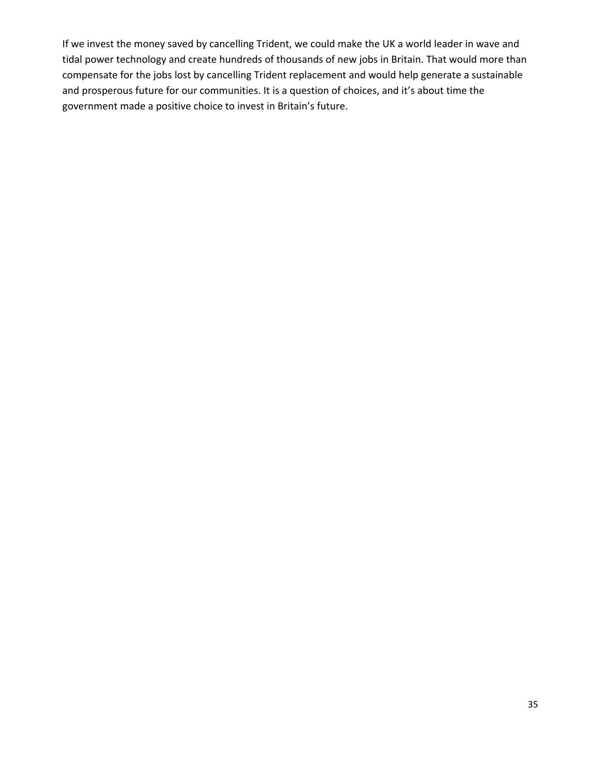If we invest the money saved by cancelling Trident, we could make the UK a world leader in wave and tidal power technology and create hundreds of thousands of new jobs in Britain. That would more than compensate for the jobs lost by cancelling Trident replacement and would help generate a sustainable and prosperous future for our communities. It is a question of choices, and it's about time the government made a positive choice to invest in Britain's future.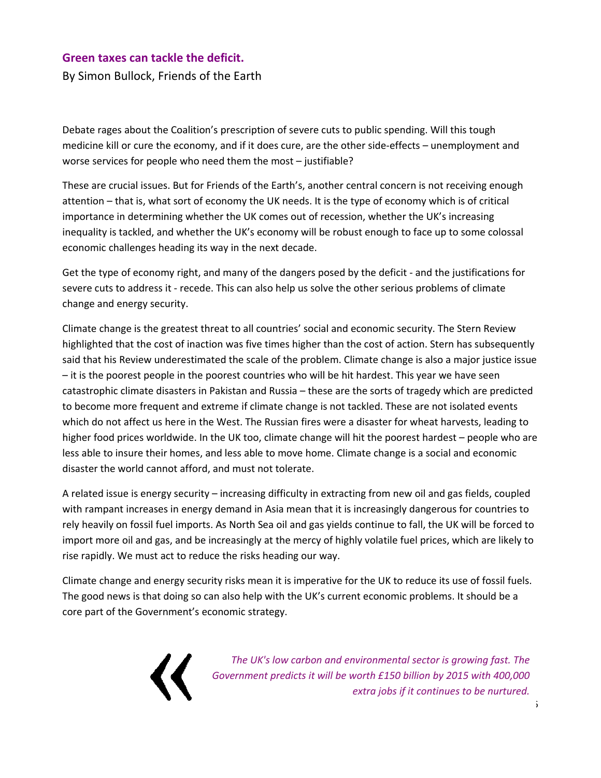#### **Green taxes can tackle the deficit.**

By Simon Bullock, Friends of the Earth

Debate rages about the Coalition's prescription of severe cuts to public spending. Will this tough medicine kill or cure the economy, and if it does cure, are the other side-effects – unemployment and worse services for people who need them the most – justifiable?

These are crucial issues. But for Friends of the Earth's, another central concern is not receiving enough attention – that is, what sort of economy the UK needs. It is the type of economy which is of critical importance in determining whether the UK comes out of recession, whether the UK's increasing inequality is tackled, and whether the UK's economy will be robust enough to face up to some colossal economic challenges heading its way in the next decade.

Get the type of economy right, and many of the dangers posed by the deficit ‐ and the justifications for severe cuts to address it - recede. This can also help us solve the other serious problems of climate change and energy security.

Climate change is the greatest threat to all countries' social and economic security. The Stern Review highlighted that the cost of inaction was five times higher than the cost of action. Stern has subsequently said that his Review underestimated the scale of the problem. Climate change is also a major justice issue – it is the poorest people in the poorest countries who will be hit hardest. This year we have seen catastrophic climate disasters in Pakistan and Russia – these are the sorts of tragedy which are predicted to become more frequent and extreme if climate change is not tackled. These are not isolated events which do not affect us here in the West. The Russian fires were a disaster for wheat harvests, leading to higher food prices worldwide. In the UK too, climate change will hit the poorest hardest – people who are less able to insure their homes, and less able to move home. Climate change is a social and economic disaster the world cannot afford, and must not tolerate.

A related issue is energy security – increasing difficulty in extracting from new oil and gas fields, coupled with rampant increases in energy demand in Asia mean that it is increasingly dangerous for countries to rely heavily on fossil fuel imports. As North Sea oil and gas yields continue to fall, the UK will be forced to import more oil and gas, and be increasingly at the mercy of highly volatile fuel prices, which are likely to rise rapidly. We must act to reduce the risks heading our way.

Climate change and energy security risks mean it is imperative for the UK to reduce its use of fossil fuels. The good news is that doing so can also help with the UK's current economic problems. It should be a core part of the Government's economic strategy.



*The UK's low carbon and environmental sector is growing fast. The Government predicts it will be worth £150 billion by 2015 with 400,000 extra jobs if it continues to be nurtured.*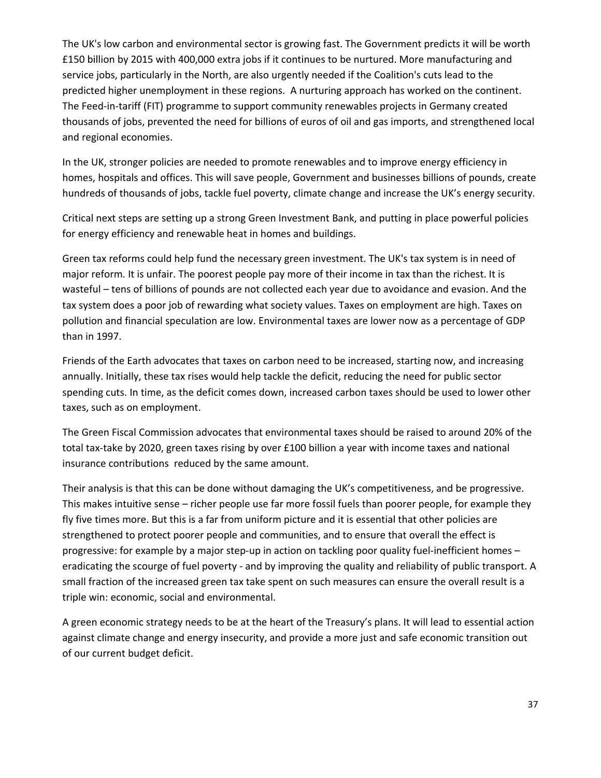The UK's low carbon and environmental sector is growing fast. The Government predicts it will be worth £150 billion by 2015 with 400,000 extra jobs if it continues to be nurtured. More manufacturing and service jobs, particularly in the North, are also urgently needed if the Coalition's cuts lead to the predicted higher unemployment in these regions. A nurturing approach has worked on the continent. The Feed-in-tariff (FIT) programme to support community renewables projects in Germany created thousands of jobs, prevented the need for billions of euros of oil and gas imports, and strengthened local and regional economies.

In the UK, stronger policies are needed to promote renewables and to improve energy efficiency in homes, hospitals and offices. This will save people, Government and businesses billions of pounds, create hundreds of thousands of jobs, tackle fuel poverty, climate change and increase the UK's energy security.

Critical next steps are setting up a strong Green Investment Bank, and putting in place powerful policies for energy efficiency and renewable heat in homes and buildings.

Green tax reforms could help fund the necessary green investment. The UK's tax system is in need of major reform. It is unfair. The poorest people pay more of their income in tax than the richest. It is wasteful – tens of billions of pounds are not collected each year due to avoidance and evasion. And the tax system does a poor job of rewarding what society values. Taxes on employment are high. Taxes on pollution and financial speculation are low. Environmental taxes are lower now as a percentage of GDP than in 1997.

Friends of the Earth advocates that taxes on carbon need to be increased, starting now, and increasing annually. Initially, these tax rises would help tackle the deficit, reducing the need for public sector spending cuts. In time, as the deficit comes down, increased carbon taxes should be used to lower other taxes, such as on employment.

The Green Fiscal Commission advocates that environmental taxes should be raised to around 20% of the total tax-take by 2020, green taxes rising by over £100 billion a year with income taxes and national insurance contributions reduced by the same amount.

Their analysis is that this can be done without damaging the UK's competitiveness, and be progressive. This makes intuitive sense – richer people use far more fossil fuels than poorer people, for example they fly five times more. But this is a far from uniform picture and it is essential that other policies are strengthened to protect poorer people and communities, and to ensure that overall the effect is progressive: for example by a major step-up in action on tackling poor quality fuel-inefficient homes – eradicating the scourge of fuel poverty ‐ and by improving the quality and reliability of public transport. A small fraction of the increased green tax take spent on such measures can ensure the overall result is a triple win: economic, social and environmental.

A green economic strategy needs to be at the heart of the Treasury's plans. It will lead to essential action against climate change and energy insecurity, and provide a more just and safe economic transition out of our current budget deficit.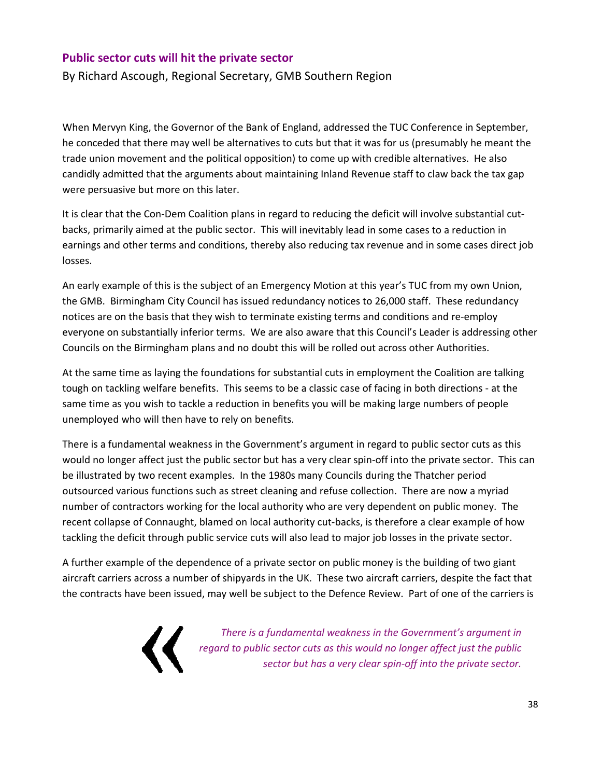#### **Public sector cuts will hit the private sector**

By Richard Ascough, Regional Secretary, GMB Southern Region

When Mervyn King, the Governor of the Bank of England, addressed the TUC Conference in September, he conceded that there may well be alternatives to cuts but that it was for us (presumably he meant the trade union movement and the political opposition) to come up with credible alternatives. He also candidly admitted that the arguments about maintaining Inland Revenue staff to claw back the tax gap were persuasive but more on this later.

It is clear that the Con‐Dem Coalition plans in regard to reducing the deficit will involve substantial cut‐ backs, primarily aimed at the public sector. This will inevitably lead in some cases to a reduction in earnings and other terms and conditions, thereby also reducing tax revenue and in some cases direct job losses.

An early example of this is the subject of an Emergency Motion at this year's TUC from my own Union, the GMB. Birmingham City Council has issued redundancy notices to 26,000 staff. These redundancy notices are on the basis that they wish to terminate existing terms and conditions and re‐employ everyone on substantially inferior terms. We are also aware that this Council's Leader is addressing other Councils on the Birmingham plans and no doubt this will be rolled out across other Authorities.

At the same time as laying the foundations for substantial cuts in employment the Coalition are talking tough on tackling welfare benefits. This seems to be a classic case of facing in both directions ‐ at the same time as you wish to tackle a reduction in benefits you will be making large numbers of people unemployed who will then have to rely on benefits.

There is a fundamental weakness in the Government's argument in regard to public sector cuts as this would no longer affect just the public sector but has a very clear spin‐off into the private sector. This can be illustrated by two recent examples. In the 1980s many Councils during the Thatcher period outsourced various functions such as street cleaning and refuse collection. There are now a myriad number of contractors working for the local authority who are very dependent on public money. The recent collapse of Connaught, blamed on local authority cut-backs, is therefore a clear example of how tackling the deficit through public service cuts will also lead to major job losses in the private sector.

A further example of the dependence of a private sector on public money is the building of two giant aircraft carriers across a number of shipyards in the UK. These two aircraft carriers, despite the fact that the contracts have been issued, may well be subject to the Defence Review. Part of one of the carriers is



*There is a fundamental weakness in the Government's argument in regard to public sector cuts as this would no longer affect just the public sector but has a very clear spin‐off into the private sector.*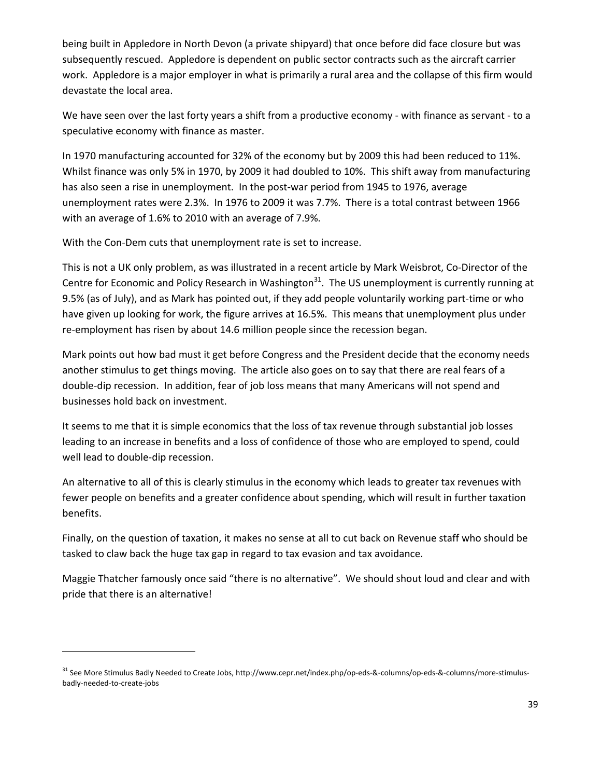being built in Appledore in North Devon (a private shipyard) that once before did face closure but was subsequently rescued. Appledore is dependent on public sector contracts such as the aircraft carrier work. Appledore is a major employer in what is primarily a rural area and the collapse of this firm would devastate the local area.

We have seen over the last forty years a shift from a productive economy - with finance as servant - to a speculative economy with finance as master.

In 1970 manufacturing accounted for 32% of the economy but by 2009 this had been reduced to 11%. Whilst finance was only 5% in 1970, by 2009 it had doubled to 10%. This shift away from manufacturing has also seen a rise in unemployment. In the post-war period from 1945 to 1976, average unemployment rates were 2.3%. In 1976 to 2009 it was 7.7%. There is a total contrast between 1966 with an average of 1.6% to 2010 with an average of 7.9%.

With the Con-Dem cuts that unemployment rate is set to increase.

This is not a UK only problem, as was illustrated in a recent article by Mark Weisbrot, Co‐Director of the Centre for Economic and Policy Research in Washington<sup>31</sup>. The US unemployment is currently running at 9.5% (as of July), and as Mark has pointed out, if they add people voluntarily working part-time or who have given up looking for work, the figure arrives at 16.5%. This means that unemployment plus under re-employment has risen by about 14.6 million people since the recession began.

Mark points out how bad must it get before Congress and the President decide that the economy needs another stimulus to get things moving. The article also goes on to say that there are real fears of a double‐dip recession. In addition, fear of job loss means that many Americans will not spend and businesses hold back on investment.

It seems to me that it is simple economics that the loss of tax revenue through substantial job losses leading to an increase in benefits and a loss of confidence of those who are employed to spend, could well lead to double‐dip recession.

An alternative to all of this is clearly stimulus in the economy which leads to greater tax revenues with fewer people on benefits and a greater confidence about spending, which will result in further taxation benefits.

Finally, on the question of taxation, it makes no sense at all to cut back on Revenue staff who should be tasked to claw back the huge tax gap in regard to tax evasion and tax avoidance.

Maggie Thatcher famously once said "there is no alternative". We should shout loud and clear and with pride that there is an alternative!

<sup>31</sup> See More Stimulus Badly Needed to Create Jobs, http://www.cepr.net/index.php/op-eds-&-columns/op-eds-&-columns/more-stimulusbadly‐needed‐to‐create‐jobs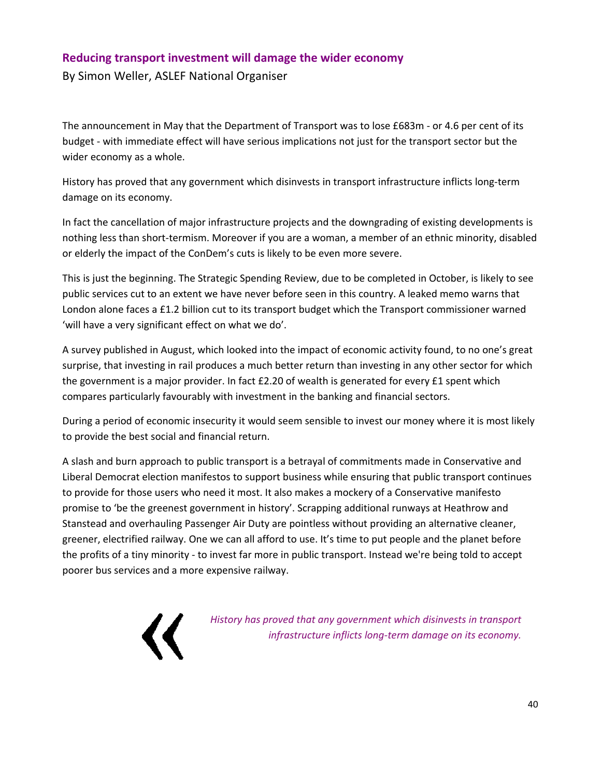#### **Reducing transport investment will damage the wider economy**

By Simon Weller, ASLEF National Organiser

The announcement in May that the Department of Transport was to lose £683m ‐ or 4.6 per cent of its budget ‐ with immediate effect will have serious implications not just for the transport sector but the wider economy as a whole.

History has proved that any government which disinvests in transport infrastructure inflicts long‐term damage on its economy.

In fact the cancellation of major infrastructure projects and the downgrading of existing developments is nothing less than short-termism. Moreover if you are a woman, a member of an ethnic minority, disabled or elderly the impact of the ConDem's cuts is likely to be even more severe.

This is just the beginning. The Strategic Spending Review, due to be completed in October, is likely to see public services cut to an extent we have never before seen in this country. A leaked memo warns that London alone faces a £1.2 billion cut to its transport budget which the Transport commissioner warned 'will have a very significant effect on what we do'.

A survey published in August, which looked into the impact of economic activity found, to no one's great surprise, that investing in rail produces a much better return than investing in any other sector for which the government is a major provider. In fact £2.20 of wealth is generated for every £1 spent which compares particularly favourably with investment in the banking and financial sectors.

During a period of economic insecurity it would seem sensible to invest our money where it is most likely to provide the best social and financial return.

A slash and burn approach to public transport is a betrayal of commitments made in Conservative and Liberal Democrat election manifestos to support business while ensuring that public transport continues to provide for those users who need it most. It also makes a mockery of a Conservative manifesto promise to 'be the greenest government in history'. Scrapping additional runways at Heathrow and Stanstead and overhauling Passenger Air Duty are pointless without providing an alternative cleaner, greener, electrified railway. One we can all afford to use. It's time to put people and the planet before the profits of a tiny minority ‐ to invest far more in public transport. Instead we're being told to accept poorer bus services and a more expensive railway.



*History has proved that any government which disinvests in transport infrastructure inflicts long‐term damage on its economy.*